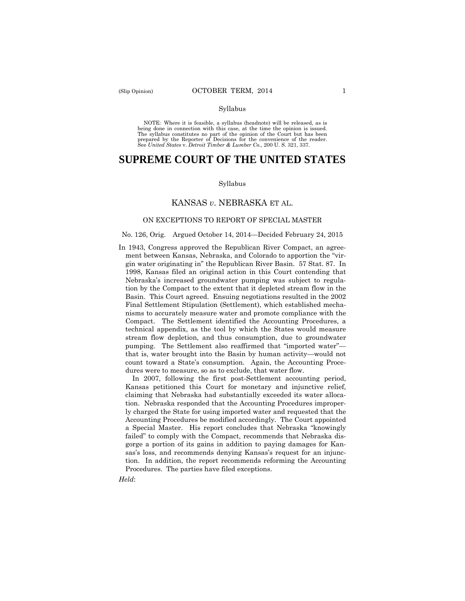#### Syllabus

NOTE: Where it is feasible, a syllabus (headnote) will be released, as is being done in connection with this case, at the time the opinion is issued. The syllabus constitutes no part of the opinion of the Court but has been<br>prepared by the Reporter of Decisions for the convenience of the reader.<br>See United States v. Detroit Timber & Lumber Co., 200 U.S. 321, 337.

# **SUPREME COURT OF THE UNITED STATES**

#### Syllabus

## KANSAS *v*. NEBRASKA ET AL.

#### ON EXCEPTIONS TO REPORT OF SPECIAL MASTER

#### No. 126, Orig. Argued October 14, 2014—Decided February 24, 2015

In 1943, Congress approved the Republican River Compact, an agreement between Kansas, Nebraska, and Colorado to apportion the "virgin water originating in" the Republican River Basin. 57 Stat. 87. In 1998, Kansas filed an original action in this Court contending that Nebraska's increased groundwater pumping was subject to regulation by the Compact to the extent that it depleted stream flow in the Basin. This Court agreed. Ensuing negotiations resulted in the 2002 Final Settlement Stipulation (Settlement), which established mechanisms to accurately measure water and promote compliance with the Compact. The Settlement identified the Accounting Procedures, a technical appendix, as the tool by which the States would measure stream flow depletion, and thus consumption, due to groundwater pumping. The Settlement also reaffirmed that "imported water" that is, water brought into the Basin by human activity—would not count toward a State's consumption. Again, the Accounting Procedures were to measure, so as to exclude, that water flow.

 In 2007, following the first post-Settlement accounting period, Kansas petitioned this Court for monetary and injunctive relief, claiming that Nebraska had substantially exceeded its water allocation. Nebraska responded that the Accounting Procedures improperly charged the State for using imported water and requested that the Accounting Procedures be modified accordingly. The Court appointed a Special Master. His report concludes that Nebraska "knowingly failed" to comply with the Compact, recommends that Nebraska disgorge a portion of its gains in addition to paying damages for Kansas's loss, and recommends denying Kansas's request for an injunction. In addition, the report recommends reforming the Accounting Procedures. The parties have filed exceptions.

*Held*: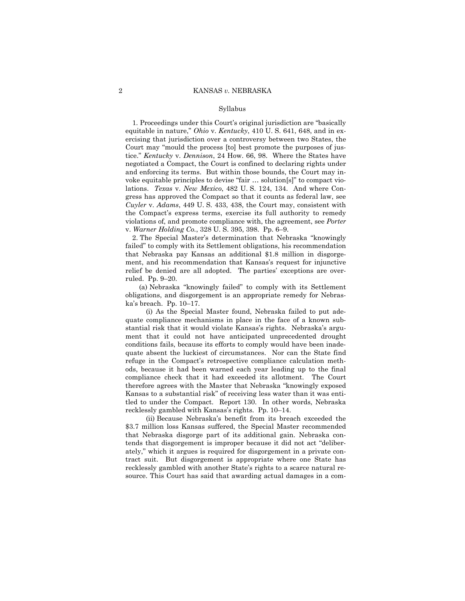#### Syllabus

 1. Proceedings under this Court's original jurisdiction are "basically equitable in nature," *Ohio* v. *Kentucky*, 410 U. S. 641, 648, and in exercising that jurisdiction over a controversy between two States, the Court may "mould the process [to] best promote the purposes of justice." *Kentucky* v. *Dennison*, 24 How. 66, 98. Where the States have negotiated a Compact, the Court is confined to declaring rights under and enforcing its terms. But within those bounds, the Court may invoke equitable principles to devise "fair … solution[s]" to compact violations. *Texas* v. *New Mexico*, 482 U. S. 124, 134. And where Congress has approved the Compact so that it counts as federal law, see *Cuyler* v. *Adams*, 449 U. S. 433, 438, the Court may, consistent with the Compact's express terms, exercise its full authority to remedy violations of, and promote compliance with, the agreement, see *Porter* v. *Warner Holding Co.*, 328 U. S. 395, 398. Pp. 6–9.

 2. The Special Master's determination that Nebraska "knowingly failed" to comply with its Settlement obligations, his recommendation that Nebraska pay Kansas an additional \$1.8 million in disgorgement, and his recommendation that Kansas's request for injunctive relief be denied are all adopted. The parties' exceptions are overruled. Pp. 9–20.

 (a) Nebraska "knowingly failed" to comply with its Settlement obligations, and disgorgement is an appropriate remedy for Nebraska's breach. Pp. 10–17.

 (i) As the Special Master found, Nebraska failed to put adequate compliance mechanisms in place in the face of a known substantial risk that it would violate Kansas's rights. Nebraska's argument that it could not have anticipated unprecedented drought conditions fails, because its efforts to comply would have been inadequate absent the luckiest of circumstances. Nor can the State find refuge in the Compact's retrospective compliance calculation methods, because it had been warned each year leading up to the final compliance check that it had exceeded its allotment. The Court therefore agrees with the Master that Nebraska "knowingly exposed Kansas to a substantial risk" of receiving less water than it was entitled to under the Compact. Report 130. In other words, Nebraska recklessly gambled with Kansas's rights. Pp. 10–14.

 (ii) Because Nebraska's benefit from its breach exceeded the \$3.7 million loss Kansas suffered, the Special Master recommended that Nebraska disgorge part of its additional gain. Nebraska contends that disgorgement is improper because it did not act "deliberately," which it argues is required for disgorgement in a private contract suit. But disgorgement is appropriate where one State has recklessly gambled with another State's rights to a scarce natural resource. This Court has said that awarding actual damages in a com-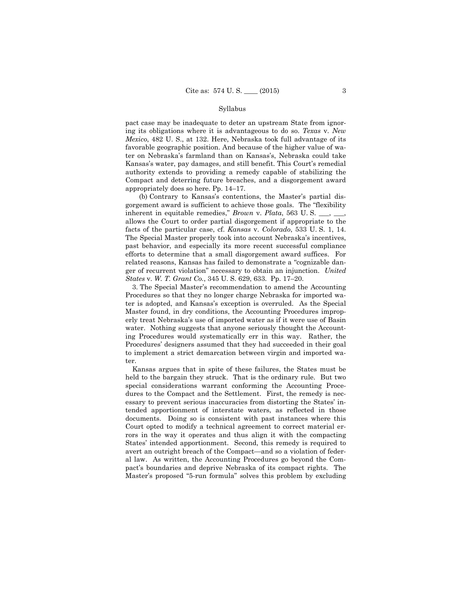#### Syllabus

pact case may be inadequate to deter an upstream State from ignoring its obligations where it is advantageous to do so. *Texas* v. *New Mexico*, 482 U. S., at 132. Here, Nebraska took full advantage of its favorable geographic position. And because of the higher value of water on Nebraska's farmland than on Kansas's, Nebraska could take Kansas's water, pay damages, and still benefit. This Court's remedial authority extends to providing a remedy capable of stabilizing the Compact and deterring future breaches, and a disgorgement award appropriately does so here. Pp. 14–17.

 (b) Contrary to Kansas's contentions, the Master's partial disgorgement award is sufficient to achieve those goals. The "flexibility inherent in equitable remedies," *Brown* v. *Plata*, 563 U. S. \_\_\_, \_\_\_, allows the Court to order partial disgorgement if appropriate to the facts of the particular case, cf. *Kansas* v. *Colorado*, 533 U. S. 1, 14. The Special Master properly took into account Nebraska's incentives, past behavior, and especially its more recent successful compliance efforts to determine that a small disgorgement award suffices. For related reasons, Kansas has failed to demonstrate a "cognizable danger of recurrent violation" necessary to obtain an injunction. *United States* v. *W. T. Grant Co.*, 345 U. S. 629, 633. Pp. 17–20.

 3. The Special Master's recommendation to amend the Accounting Procedures so that they no longer charge Nebraska for imported water is adopted, and Kansas's exception is overruled. As the Special Master found, in dry conditions, the Accounting Procedures improperly treat Nebraska's use of imported water as if it were use of Basin water. Nothing suggests that anyone seriously thought the Accounting Procedures would systematically err in this way. Rather, the Procedures' designers assumed that they had succeeded in their goal to implement a strict demarcation between virgin and imported water.

 Kansas argues that in spite of these failures, the States must be held to the bargain they struck. That is the ordinary rule. But two special considerations warrant conforming the Accounting Procedures to the Compact and the Settlement. First, the remedy is necessary to prevent serious inaccuracies from distorting the States' intended apportionment of interstate waters, as reflected in those documents. Doing so is consistent with past instances where this Court opted to modify a technical agreement to correct material errors in the way it operates and thus align it with the compacting States' intended apportionment. Second, this remedy is required to avert an outright breach of the Compact—and so a violation of federal law. As written, the Accounting Procedures go beyond the Compact's boundaries and deprive Nebraska of its compact rights. The Master's proposed "5-run formula" solves this problem by excluding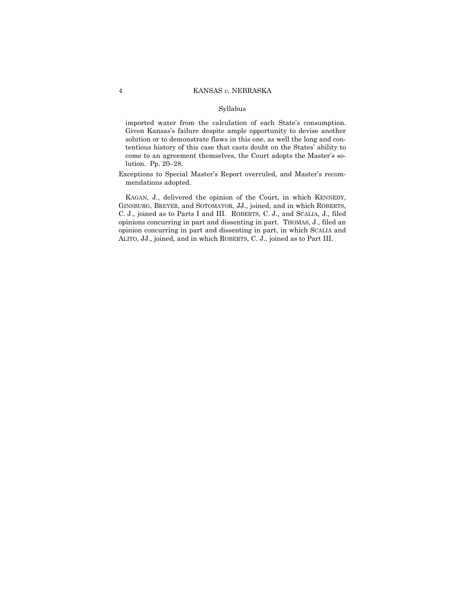#### Syllabus

imported water from the calculation of each State's consumption. Given Kansas's failure despite ample opportunity to devise another solution or to demonstrate flaws in this one, as well the long and contentious history of this case that casts doubt on the States' ability to come to an agreement themselves, the Court adopts the Master's solution. Pp. 20–28.

Exceptions to Special Master's Report overruled, and Master's recommendations adopted.

 KAGAN, J., delivered the opinion of the Court, in which KENNEDY, GINSBURG, BREYER, and SOTOMAYOR, JJ., joined, and in which ROBERTS, C. J., joined as to Parts I and III. ROBERTS, C. J., and SCALIA, J., filed opinions concurring in part and dissenting in part. THOMAS, J., filed an opinion concurring in part and dissenting in part, in which SCALIA and ALITO, JJ., joined, and in which ROBERTS, C. J., joined as to Part III.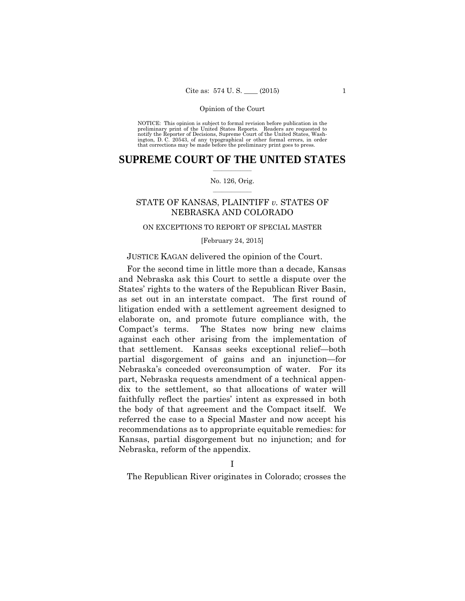preliminary print of the United States Reports. Readers are requested to notify the Reporter of Decisions, Supreme Court of the United States, Wash- ington, D. C. 20543, of any typographical or other formal errors, in order that corrections may be made before the preliminary print goes to press. NOTICE: This opinion is subject to formal revision before publication in the

## $\frac{1}{2}$  ,  $\frac{1}{2}$  ,  $\frac{1}{2}$  ,  $\frac{1}{2}$  ,  $\frac{1}{2}$  ,  $\frac{1}{2}$  ,  $\frac{1}{2}$ **SUPREME COURT OF THE UNITED STATES**

#### $\frac{1}{2}$  ,  $\frac{1}{2}$  ,  $\frac{1}{2}$  ,  $\frac{1}{2}$  ,  $\frac{1}{2}$  ,  $\frac{1}{2}$ No. 126, Orig.

## STATE OF KANSAS, PLAINTIFF *v.* STATES OF NEBRASKA AND COLORADO

## ON EXCEPTIONS TO REPORT OF SPECIAL MASTER

[February 24, 2015]

## JUSTICE KAGAN delivered the opinion of the Court.

For the second time in little more than a decade, Kansas and Nebraska ask this Court to settle a dispute over the States' rights to the waters of the Republican River Basin, as set out in an interstate compact. The first round of litigation ended with a settlement agreement designed to elaborate on, and promote future compliance with, the Compact's terms. The States now bring new claims against each other arising from the implementation of that settlement. Kansas seeks exceptional relief—both partial disgorgement of gains and an injunction—for Nebraska's conceded overconsumption of water. For its part, Nebraska requests amendment of a technical appendix to the settlement, so that allocations of water will faithfully reflect the parties' intent as expressed in both the body of that agreement and the Compact itself. We referred the case to a Special Master and now accept his recommendations as to appropriate equitable remedies: for Kansas, partial disgorgement but no injunction; and for Nebraska, reform of the appendix.

I

The Republican River originates in Colorado; crosses the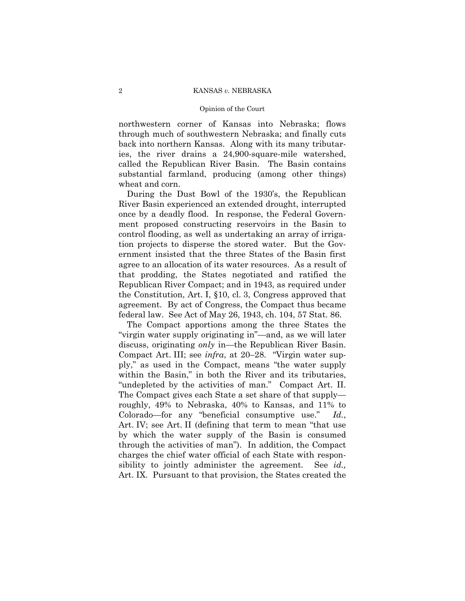#### Opinion of the Court

northwestern corner of Kansas into Nebraska; flows through much of southwestern Nebraska; and finally cuts back into northern Kansas. Along with its many tributaries, the river drains a 24,900-square-mile watershed, called the Republican River Basin. The Basin contains substantial farmland, producing (among other things) wheat and corn.

During the Dust Bowl of the 1930's, the Republican River Basin experienced an extended drought, interrupted once by a deadly flood. In response, the Federal Government proposed constructing reservoirs in the Basin to control flooding, as well as undertaking an array of irrigation projects to disperse the stored water. But the Government insisted that the three States of the Basin first agree to an allocation of its water resources. As a result of that prodding, the States negotiated and ratified the Republican River Compact; and in 1943, as required under the Constitution, Art. I, §10, cl. 3, Congress approved that agreement. By act of Congress, the Compact thus became federal law. See Act of May 26, 1943, ch. 104, 57 Stat. 86.

The Compact apportions among the three States the "virgin water supply originating in"—and, as we will later discuss, originating *only* in—the Republican River Basin. Compact Art. III; see *infra*, at 20–28. "Virgin water supply," as used in the Compact, means "the water supply within the Basin," in both the River and its tributaries, "undepleted by the activities of man." Compact Art. II. The Compact gives each State a set share of that supply roughly, 49% to Nebraska, 40% to Kansas, and 11% to Colorado—for any "beneficial consumptive use." *Id.*, Art. IV; see Art. II (defining that term to mean "that use by which the water supply of the Basin is consumed through the activities of man"). In addition, the Compact charges the chief water official of each State with responsibility to jointly administer the agreement. See *id.,*  Art. IX. Pursuant to that provision, the States created the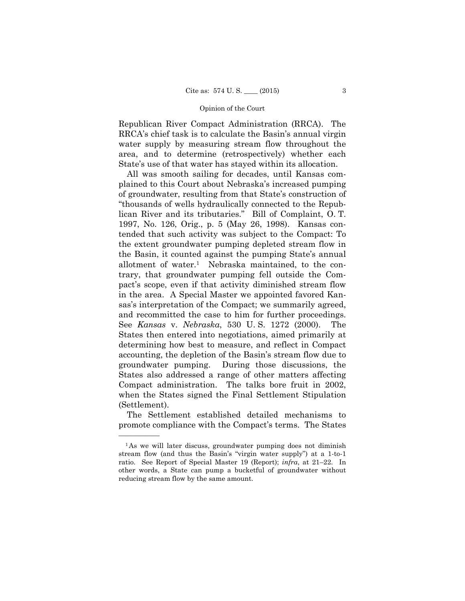Republican River Compact Administration (RRCA). The RRCA's chief task is to calculate the Basin's annual virgin water supply by measuring stream flow throughout the area, and to determine (retrospectively) whether each State's use of that water has stayed within its allocation.

All was smooth sailing for decades, until Kansas complained to this Court about Nebraska's increased pumping of groundwater, resulting from that State's construction of "thousands of wells hydraulically connected to the Republican River and its tributaries." Bill of Complaint, O. T. 1997, No. 126, Orig., p. 5 (May 26, 1998). Kansas contended that such activity was subject to the Compact: To the extent groundwater pumping depleted stream flow in the Basin, it counted against the pumping State's annual allotment of water.1 Nebraska maintained, to the contrary, that groundwater pumping fell outside the Compact's scope, even if that activity diminished stream flow in the area. A Special Master we appointed favored Kansas's interpretation of the Compact; we summarily agreed, and recommitted the case to him for further proceedings. See *Kansas* v. *Nebraska*, 530 U. S. 1272 (2000). The States then entered into negotiations, aimed primarily at determining how best to measure, and reflect in Compact accounting, the depletion of the Basin's stream flow due to groundwater pumping. During those discussions, the States also addressed a range of other matters affecting Compact administration. The talks bore fruit in 2002, when the States signed the Final Settlement Stipulation (Settlement).

The Settlement established detailed mechanisms to promote compliance with the Compact's terms. The States

<sup>&</sup>lt;sup>1</sup>As we will later discuss, groundwater pumping does not diminish stream flow (and thus the Basin's "virgin water supply") at a 1-to-1 ratio. See Report of Special Master 19 (Report); *infra*, at 21–22. In other words, a State can pump a bucketful of groundwater without reducing stream flow by the same amount.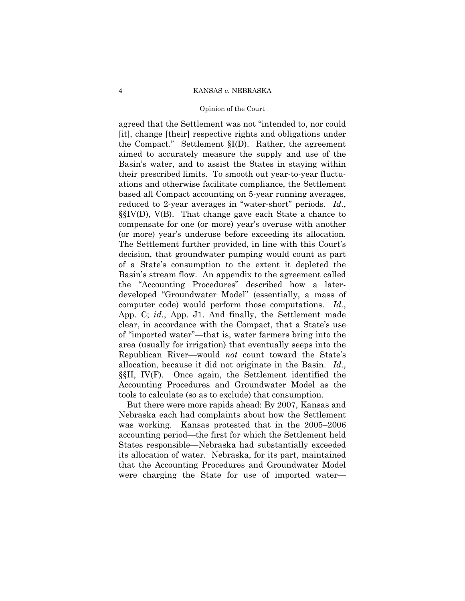#### Opinion of the Court

agreed that the Settlement was not "intended to, nor could [it], change [their] respective rights and obligations under the Compact." Settlement §I(D). Rather, the agreement aimed to accurately measure the supply and use of the Basin's water, and to assist the States in staying within their prescribed limits. To smooth out year-to-year fluctuations and otherwise facilitate compliance, the Settlement based all Compact accounting on 5-year running averages, reduced to 2-year averages in "water-short" periods. *Id.*, §§IV(D), V(B). That change gave each State a chance to compensate for one (or more) year's overuse with another (or more) year's underuse before exceeding its allocation. The Settlement further provided, in line with this Court's decision, that groundwater pumping would count as part of a State's consumption to the extent it depleted the Basin's stream flow. An appendix to the agreement called the "Accounting Procedures" described how a laterdeveloped "Groundwater Model" (essentially, a mass of computer code) would perform those computations. *Id.*, App. C; *id.*, App. J1. And finally, the Settlement made clear, in accordance with the Compact, that a State's use of "imported water"—that is, water farmers bring into the area (usually for irrigation) that eventually seeps into the Republican River—would *not* count toward the State's allocation, because it did not originate in the Basin. *Id.*, §§II, IV(F). Once again, the Settlement identified the Accounting Procedures and Groundwater Model as the tools to calculate (so as to exclude) that consumption.

But there were more rapids ahead: By 2007, Kansas and Nebraska each had complaints about how the Settlement was working. Kansas protested that in the 2005–2006 accounting period—the first for which the Settlement held States responsible—Nebraska had substantially exceeded its allocation of water. Nebraska, for its part, maintained that the Accounting Procedures and Groundwater Model were charging the State for use of imported water—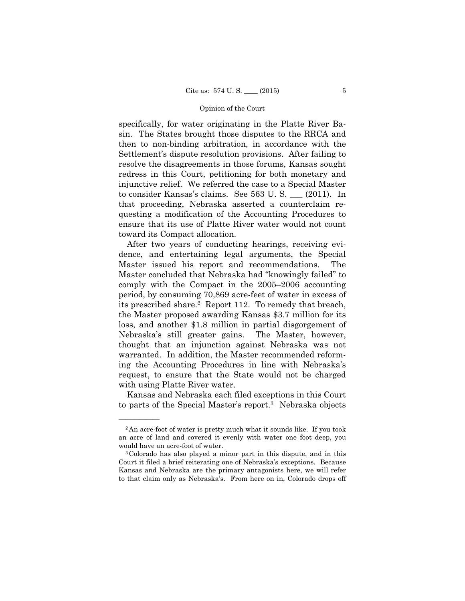specifically, for water originating in the Platte River Basin. The States brought those disputes to the RRCA and then to non-binding arbitration, in accordance with the Settlement's dispute resolution provisions. After failing to resolve the disagreements in those forums, Kansas sought redress in this Court, petitioning for both monetary and injunctive relief. We referred the case to a Special Master to consider Kansas's claims. See 563 U. S. \_\_\_ (2011). In that proceeding, Nebraska asserted a counterclaim requesting a modification of the Accounting Procedures to ensure that its use of Platte River water would not count toward its Compact allocation.

After two years of conducting hearings, receiving evidence, and entertaining legal arguments, the Special Master issued his report and recommendations. The Master concluded that Nebraska had "knowingly failed" to comply with the Compact in the 2005–2006 accounting period, by consuming 70,869 acre-feet of water in excess of its prescribed share.2 Report 112. To remedy that breach, the Master proposed awarding Kansas \$3.7 million for its loss, and another \$1.8 million in partial disgorgement of Nebraska's still greater gains. The Master, however, thought that an injunction against Nebraska was not warranted. In addition, the Master recommended reforming the Accounting Procedures in line with Nebraska's request, to ensure that the State would not be charged with using Platte River water.

Kansas and Nebraska each filed exceptions in this Court to parts of the Special Master's report.3 Nebraska objects

<sup>&</sup>lt;sup>2</sup>An acre-foot of water is pretty much what it sounds like. If you took an acre of land and covered it evenly with water one foot deep, you would have an acre-foot of water.<br><sup>3</sup>Colorado has also played a minor part in this dispute, and in this

Court it filed a brief reiterating one of Nebraska's exceptions. Because Kansas and Nebraska are the primary antagonists here, we will refer to that claim only as Nebraska's. From here on in, Colorado drops off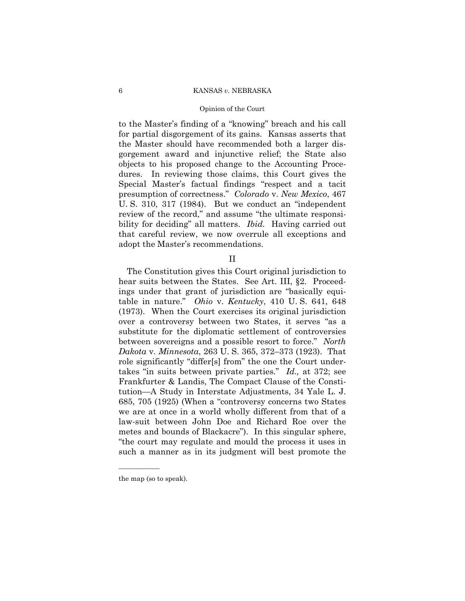#### Opinion of the Court

to the Master's finding of a "knowing" breach and his call for partial disgorgement of its gains. Kansas asserts that the Master should have recommended both a larger disgorgement award and injunctive relief; the State also objects to his proposed change to the Accounting Procedures. In reviewing those claims, this Court gives the Special Master's factual findings "respect and a tacit presumption of correctness." *Colorado* v. *New Mexico*, 467 U. S. 310, 317 (1984). But we conduct an "independent review of the record," and assume "the ultimate responsibility for deciding" all matters. *Ibid.* Having carried out that careful review, we now overrule all exceptions and adopt the Master's recommendations.

II

 (1973). When the Court exercises its original jurisdiction metes and bounds of Blackacre"). In this singular sphere, The Constitution gives this Court original jurisdiction to hear suits between the States. See Art. III, §2. Proceedings under that grant of jurisdiction are "basically equitable in nature." *Ohio* v. *Kentucky*, 410 U. S. 641, 648 over a controversy between two States, it serves "as a substitute for the diplomatic settlement of controversies between sovereigns and a possible resort to force." *North Dakota* v. *Minnesota*, 263 U. S. 365, 372–373 (1923). That role significantly "differ[s] from" the one the Court undertakes "in suits between private parties." *Id.,* at 372; see Frankfurter & Landis, The Compact Clause of the Constitution—A Study in Interstate Adjustments, 34 Yale L. J. 685, 705 (1925) (When a "controversy concerns two States we are at once in a world wholly different from that of a law-suit between John Doe and Richard Roe over the "the court may regulate and mould the process it uses in such a manner as in its judgment will best promote the

the map (so to speak).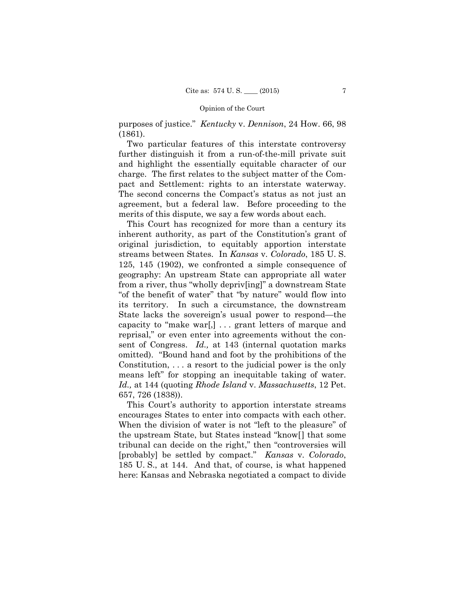purposes of justice." *Kentucky* v. *Dennison*, 24 How. 66, 98 (1861).

Two particular features of this interstate controversy further distinguish it from a run-of-the-mill private suit and highlight the essentially equitable character of our charge. The first relates to the subject matter of the Compact and Settlement: rights to an interstate waterway. The second concerns the Compact's status as not just an agreement, but a federal law. Before proceeding to the merits of this dispute, we say a few words about each.

This Court has recognized for more than a century its inherent authority, as part of the Constitution's grant of original jurisdiction, to equitably apportion interstate streams between States. In *Kansas* v. *Colorado*, 185 U. S. 125, 145 (1902), we confronted a simple consequence of geography: An upstream State can appropriate all water from a river, thus "wholly depriv[ing]" a downstream State "of the benefit of water" that "by nature" would flow into its territory. In such a circumstance, the downstream State lacks the sovereign's usual power to respond—the capacity to "make war[,] . . . grant letters of marque and reprisal," or even enter into agreements without the consent of Congress. *Id.,* at 143 (internal quotation marks omitted). "Bound hand and foot by the prohibitions of the Constitution, . . . a resort to the judicial power is the only means left" for stopping an inequitable taking of water. *Id.,* at 144 (quoting *Rhode Island* v. *Massachusetts*, 12 Pet. 657, 726 (1838)).

This Court's authority to apportion interstate streams encourages States to enter into compacts with each other. When the division of water is not "left to the pleasure" of the upstream State, but States instead "know[] that some tribunal can decide on the right," then "controversies will [probably] be settled by compact." *Kansas* v. *Colorado*, 185 U. S., at 144. And that, of course, is what happened here: Kansas and Nebraska negotiated a compact to divide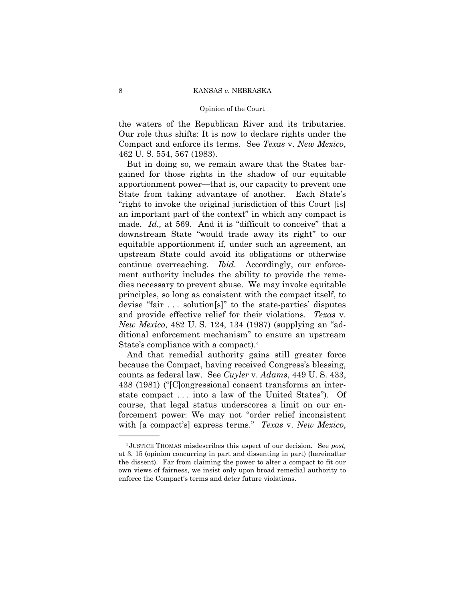#### Opinion of the Court

the waters of the Republican River and its tributaries. Our role thus shifts: It is now to declare rights under the Compact and enforce its terms. See *Texas* v. *New Mexico*, 462 U. S. 554, 567 (1983).

But in doing so, we remain aware that the States bargained for those rights in the shadow of our equitable apportionment power—that is, our capacity to prevent one State from taking advantage of another. Each State's "right to invoke the original jurisdiction of this Court [is] an important part of the context" in which any compact is made. *Id.,* at 569. And it is "difficult to conceive" that a downstream State "would trade away its right" to our equitable apportionment if, under such an agreement, an upstream State could avoid its obligations or otherwise continue overreaching. *Ibid.* Accordingly, our enforcement authority includes the ability to provide the remedies necessary to prevent abuse. We may invoke equitable principles, so long as consistent with the compact itself, to devise "fair . . . solution[s]" to the state-parties' disputes and provide effective relief for their violations. *Texas* v. *New Mexico*, 482 U. S. 124, 134 (1987) (supplying an "additional enforcement mechanism" to ensure an upstream State's compliance with a compact).4

And that remedial authority gains still greater force because the Compact, having received Congress's blessing, counts as federal law. See *Cuyler* v. *Adams*, 449 U. S. 433, 438 (1981) ("[C]ongressional consent transforms an interstate compact . . . into a law of the United States"). Of course, that legal status underscores a limit on our enforcement power: We may not "order relief inconsistent with [a compact's] express terms." *Texas* v. *New Mexico*,

<sup>4</sup> JUSTICE THOMAS misdescribes this aspect of our decision. See *post,* at 3, 15 (opinion concurring in part and dissenting in part) (hereinafter the dissent). Far from claiming the power to alter a compact to fit our own views of fairness, we insist only upon broad remedial authority to enforce the Compact's terms and deter future violations.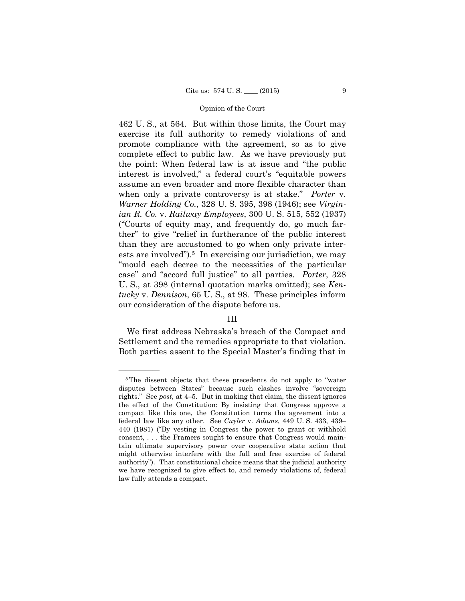462 U. S., at 564. But within those limits, the Court may exercise its full authority to remedy violations of and promote compliance with the agreement, so as to give complete effect to public law. As we have previously put the point: When federal law is at issue and "the public interest is involved," a federal court's "equitable powers assume an even broader and more flexible character than when only a private controversy is at stake." *Porter* v. *Warner Holding Co.*, 328 U. S. 395, 398 (1946); see *Virginian R. Co.* v. *Railway Employees*, 300 U. S. 515, 552 (1937) ("Courts of equity may, and frequently do, go much farther" to give "relief in furtherance of the public interest than they are accustomed to go when only private interests are involved").<sup>5</sup> In exercising our jurisdiction, we may "mould each decree to the necessities of the particular case" and "accord full justice" to all parties. *Porter*, 328 U. S., at 398 (internal quotation marks omitted); see *Kentucky* v. *Dennison*, 65 U. S., at 98. These principles inform our consideration of the dispute before us.

## III

We first address Nebraska's breach of the Compact and Settlement and the remedies appropriate to that violation. Both parties assent to the Special Master's finding that in

<sup>5</sup>The dissent objects that these precedents do not apply to "water disputes between States" because such clashes involve "sovereign rights." See *post,* at 4–5. But in making that claim, the dissent ignores the effect of the Constitution: By insisting that Congress approve a compact like this one, the Constitution turns the agreement into a federal law like any other. See *Cuyler* v. *Adams*, 449 U. S. 433, 439– 440 (1981) ("By vesting in Congress the power to grant or withhold consent, . . . the Framers sought to ensure that Congress would maintain ultimate supervisory power over cooperative state action that might otherwise interfere with the full and free exercise of federal authority"). That constitutional choice means that the judicial authority we have recognized to give effect to, and remedy violations of, federal law fully attends a compact.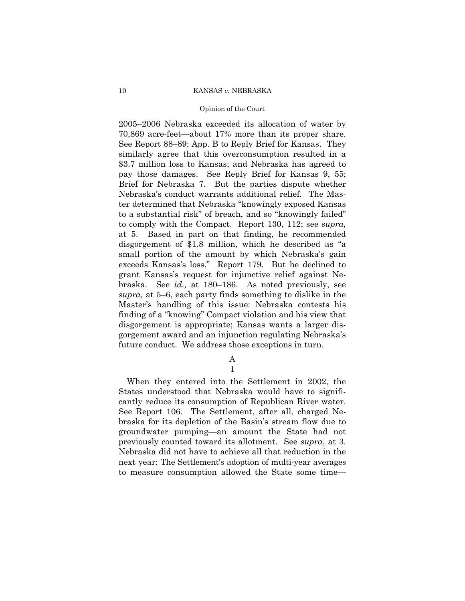#### Opinion of the Court

2005–2006 Nebraska exceeded its allocation of water by 70,869 acre-feet—about 17% more than its proper share. See Report 88–89; App. B to Reply Brief for Kansas. They similarly agree that this overconsumption resulted in a \$3.7 million loss to Kansas; and Nebraska has agreed to pay those damages. See Reply Brief for Kansas 9, 55; Brief for Nebraska 7. But the parties dispute whether Nebraska's conduct warrants additional relief. The Master determined that Nebraska "knowingly exposed Kansas to a substantial risk" of breach, and so "knowingly failed" to comply with the Compact. Report 130, 112; see *supra,*  at 5. Based in part on that finding, he recommended disgorgement of \$1.8 million, which he described as "a small portion of the amount by which Nebraska's gain exceeds Kansas's loss." Report 179. But he declined to grant Kansas's request for injunctive relief against Nebraska. See *id.,* at 180–186. As noted previously, see *supra,* at 5–6, each party finds something to dislike in the Master's handling of this issue: Nebraska contests his finding of a "knowing" Compact violation and his view that disgorgement is appropriate; Kansas wants a larger disgorgement award and an injunction regulating Nebraska's future conduct. We address those exceptions in turn.

> A 1

 next year: The Settlement's adoption of multi-year averages When they entered into the Settlement in 2002, the States understood that Nebraska would have to significantly reduce its consumption of Republican River water. See Report 106. The Settlement, after all, charged Nebraska for its depletion of the Basin's stream flow due to groundwater pumping—an amount the State had not previously counted toward its allotment. See *supra*, at 3. Nebraska did not have to achieve all that reduction in the to measure consumption allowed the State some time—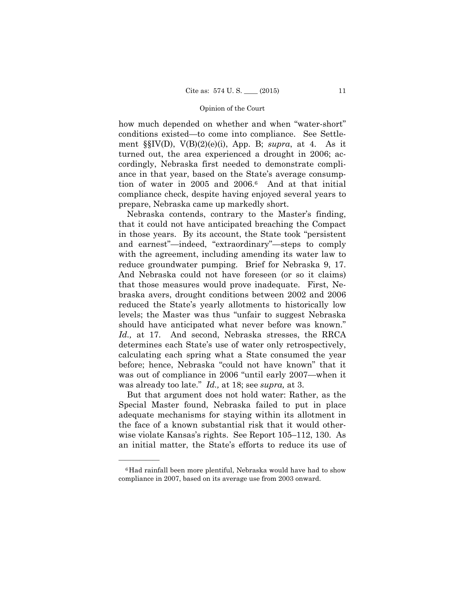how much depended on whether and when "water-short" conditions existed—to come into compliance. See Settlement §§IV(D), V(B)(2)(e)(i), App. B; *supra*, at 4. As it turned out, the area experienced a drought in 2006; accordingly, Nebraska first needed to demonstrate compliance in that year, based on the State's average consumption of water in 2005 and 2006.6 And at that initial compliance check, despite having enjoyed several years to prepare, Nebraska came up markedly short.

Nebraska contends, contrary to the Master's finding, that it could not have anticipated breaching the Compact in those years. By its account, the State took "persistent and earnest"—indeed, "extraordinary"—steps to comply with the agreement, including amending its water law to reduce groundwater pumping. Brief for Nebraska 9, 17. And Nebraska could not have foreseen (or so it claims) that those measures would prove inadequate. First, Nebraska avers, drought conditions between 2002 and 2006 reduced the State's yearly allotments to historically low levels; the Master was thus "unfair to suggest Nebraska should have anticipated what never before was known." *Id.,* at 17. And second, Nebraska stresses, the RRCA determines each State's use of water only retrospectively, calculating each spring what a State consumed the year before; hence, Nebraska "could not have known" that it was out of compliance in 2006 "until early 2007—when it was already too late." *Id.,* at 18; see *supra,* at 3.

But that argument does not hold water: Rather, as the Special Master found, Nebraska failed to put in place adequate mechanisms for staying within its allotment in the face of a known substantial risk that it would otherwise violate Kansas's rights. See Report 105–112, 130. As an initial matter, the State's efforts to reduce its use of

<sup>6</sup>Had rainfall been more plentiful, Nebraska would have had to show compliance in 2007, based on its average use from 2003 onward.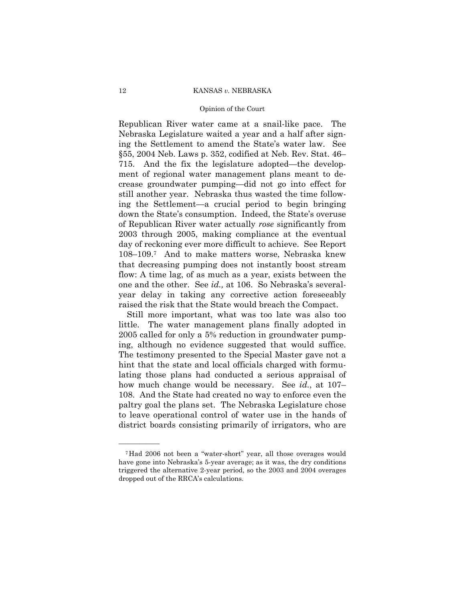#### Opinion of the Court

Republican River water came at a snail-like pace. The Nebraska Legislature waited a year and a half after signing the Settlement to amend the State's water law. See §55, 2004 Neb. Laws p. 352, codified at Neb. Rev. Stat. 46– 715. And the fix the legislature adopted—the development of regional water management plans meant to decrease groundwater pumping—did not go into effect for still another year. Nebraska thus wasted the time following the Settlement—a crucial period to begin bringing down the State's consumption. Indeed, the State's overuse of Republican River water actually *rose* significantly from 2003 through 2005, making compliance at the eventual day of reckoning ever more difficult to achieve. See Report 108–109.7 And to make matters worse, Nebraska knew that decreasing pumping does not instantly boost stream flow: A time lag, of as much as a year, exists between the one and the other. See *id.,* at 106. So Nebraska's severalyear delay in taking any corrective action foreseeably raised the risk that the State would breach the Compact.

Still more important, what was too late was also too little. The water management plans finally adopted in 2005 called for only a 5% reduction in groundwater pumping, although no evidence suggested that would suffice. The testimony presented to the Special Master gave not a hint that the state and local officials charged with formulating those plans had conducted a serious appraisal of how much change would be necessary. See *id.*, at 107– 108. And the State had created no way to enforce even the paltry goal the plans set. The Nebraska Legislature chose to leave operational control of water use in the hands of district boards consisting primarily of irrigators, who are

<sup>7</sup>Had 2006 not been a "water-short" year, all those overages would have gone into Nebraska's 5-year average; as it was, the dry conditions triggered the alternative 2-year period, so the 2003 and 2004 overages dropped out of the RRCA's calculations.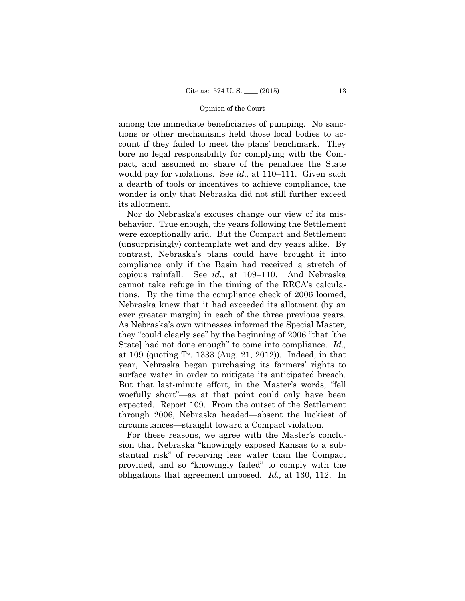among the immediate beneficiaries of pumping. No sanctions or other mechanisms held those local bodies to account if they failed to meet the plans' benchmark. They bore no legal responsibility for complying with the Compact, and assumed no share of the penalties the State would pay for violations. See *id.,* at 110–111. Given such a dearth of tools or incentives to achieve compliance, the wonder is only that Nebraska did not still further exceed its allotment.

expected. Report 109. From the outset of the Settlement Nor do Nebraska's excuses change our view of its misbehavior. True enough, the years following the Settlement were exceptionally arid. But the Compact and Settlement (unsurprisingly) contemplate wet and dry years alike. By contrast, Nebraska's plans could have brought it into compliance only if the Basin had received a stretch of copious rainfall. See *id.,* at 109–110. And Nebraska cannot take refuge in the timing of the RRCA's calculations. By the time the compliance check of 2006 loomed, Nebraska knew that it had exceeded its allotment (by an ever greater margin) in each of the three previous years. As Nebraska's own witnesses informed the Special Master, they "could clearly see" by the beginning of 2006 "that [the State] had not done enough" to come into compliance. *Id.,*  at 109 (quoting Tr. 1333 (Aug. 21, 2012)). Indeed, in that year, Nebraska began purchasing its farmers' rights to surface water in order to mitigate its anticipated breach. But that last-minute effort, in the Master's words, "fell woefully short"—as at that point could only have been through 2006, Nebraska headed—absent the luckiest of circumstances—straight toward a Compact violation.

For these reasons, we agree with the Master's conclusion that Nebraska "knowingly exposed Kansas to a substantial risk" of receiving less water than the Compact provided, and so "knowingly failed" to comply with the obligations that agreement imposed. *Id.,* at 130, 112. In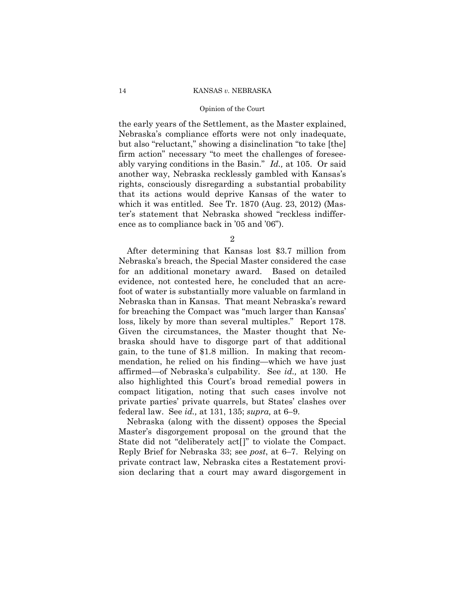#### Opinion of the Court

the early years of the Settlement, as the Master explained, Nebraska's compliance efforts were not only inadequate, but also "reluctant," showing a disinclination "to take [the] firm action" necessary "to meet the challenges of foreseeably varying conditions in the Basin." *Id.,* at 105. Or said another way, Nebraska recklessly gambled with Kansas's rights, consciously disregarding a substantial probability that its actions would deprive Kansas of the water to which it was entitled. See Tr. 1870 (Aug. 23, 2012) (Master's statement that Nebraska showed "reckless indifference as to compliance back in '05 and '06").

2

After determining that Kansas lost \$3.7 million from Nebraska's breach, the Special Master considered the case for an additional monetary award. Based on detailed evidence, not contested here, he concluded that an acrefoot of water is substantially more valuable on farmland in Nebraska than in Kansas. That meant Nebraska's reward for breaching the Compact was "much larger than Kansas' loss, likely by more than several multiples." Report 178. Given the circumstances, the Master thought that Nebraska should have to disgorge part of that additional gain, to the tune of \$1.8 million. In making that recommendation, he relied on his finding—which we have just affirmed—of Nebraska's culpability. See *id.,* at 130. He also highlighted this Court's broad remedial powers in compact litigation, noting that such cases involve not private parties' private quarrels, but States' clashes over federal law. See *id.,* at 131, 135; *supra,* at 6–9.

Nebraska (along with the dissent) opposes the Special Master's disgorgement proposal on the ground that the State did not "deliberately act[]" to violate the Compact. Reply Brief for Nebraska 33; see *post*, at 6–7. Relying on private contract law, Nebraska cites a Restatement provision declaring that a court may award disgorgement in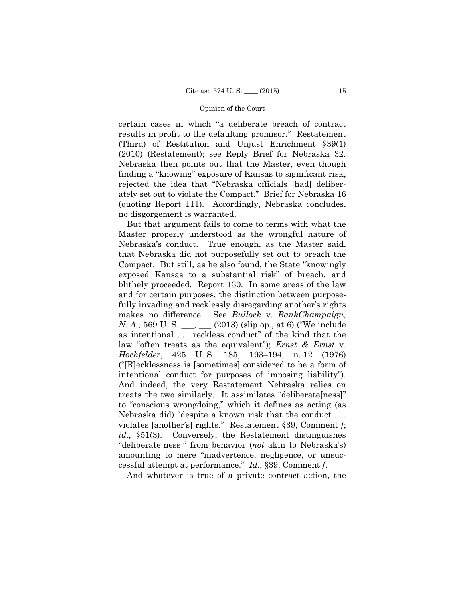ately set out to violate the Compact." Brief for Nebraska 16 certain cases in which "a deliberate breach of contract results in profit to the defaulting promisor." Restatement (Third) of Restitution and Unjust Enrichment §39(1) (2010) (Restatement); see Reply Brief for Nebraska 32. Nebraska then points out that the Master, even though finding a "knowing" exposure of Kansas to significant risk, rejected the idea that "Nebraska officials [had] deliber-(quoting Report 111). Accordingly, Nebraska concludes, no disgorgement is warranted.

But that argument fails to come to terms with what the Master properly understood as the wrongful nature of Nebraska's conduct. True enough, as the Master said, that Nebraska did not purposefully set out to breach the Compact. But still, as he also found, the State "knowingly exposed Kansas to a substantial risk" of breach, and blithely proceeded. Report 130. In some areas of the law and for certain purposes, the distinction between purposefully invading and recklessly disregarding another's rights makes no difference. See *Bullock* v. *BankChampaign, N. A.*, 569 U. S. \_\_\_, \_\_\_ (2013) (slip op., at 6) ("We include as intentional . . . reckless conduct" of the kind that the law "often treats as the equivalent"); *Ernst & Ernst* v. *Hochfelder*, 425 U. S. 185, 193–194, n. 12 (1976) ("[R]ecklessness is [sometimes] considered to be a form of intentional conduct for purposes of imposing liability"). And indeed, the very Restatement Nebraska relies on treats the two similarly. It assimilates "deliberate[ness]" to "conscious wrongdoing," which it defines as acting (as Nebraska did) "despite a known risk that the conduct . . . violates [another's] rights." Restatement §39, Comment *f*; *id.*, §51(3). Conversely, the Restatement distinguishes "deliberate[ness]" from behavior (*not* akin to Nebraska's) amounting to mere "inadvertence, negligence, or unsuccessful attempt at performance." *Id.*, §39, Comment *f*.

And whatever is true of a private contract action, the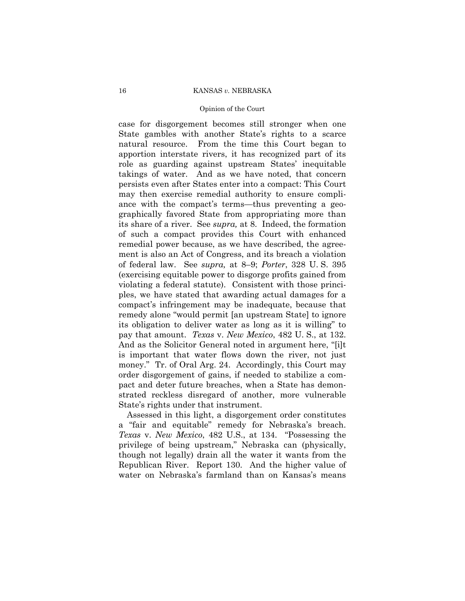#### Opinion of the Court

case for disgorgement becomes still stronger when one State gambles with another State's rights to a scarce natural resource. From the time this Court began to apportion interstate rivers, it has recognized part of its role as guarding against upstream States' inequitable takings of water. And as we have noted, that concern persists even after States enter into a compact: This Court may then exercise remedial authority to ensure compliance with the compact's terms—thus preventing a geographically favored State from appropriating more than its share of a river. See *supra,* at 8. Indeed, the formation of such a compact provides this Court with enhanced remedial power because, as we have described, the agreement is also an Act of Congress, and its breach a violation of federal law. See *supra,* at 8–9; *Porter*, 328 U. S. 395 (exercising equitable power to disgorge profits gained from violating a federal statute). Consistent with those principles, we have stated that awarding actual damages for a compact's infringement may be inadequate, because that remedy alone "would permit [an upstream State] to ignore its obligation to deliver water as long as it is willing" to pay that amount. *Texas* v. *New Mexico*, 482 U. S., at 132. And as the Solicitor General noted in argument here, "[i]t is important that water flows down the river, not just money." Tr. of Oral Arg. 24. Accordingly, this Court may order disgorgement of gains, if needed to stabilize a compact and deter future breaches, when a State has demonstrated reckless disregard of another, more vulnerable State's rights under that instrument.

 a "fair and equitable" remedy for Nebraska's breach. Assessed in this light, a disgorgement order constitutes *Texas* v. *New Mexico*, 482 U.S., at 134. "Possessing the privilege of being upstream," Nebraska can (physically, though not legally) drain all the water it wants from the Republican River. Report 130. And the higher value of water on Nebraska's farmland than on Kansas's means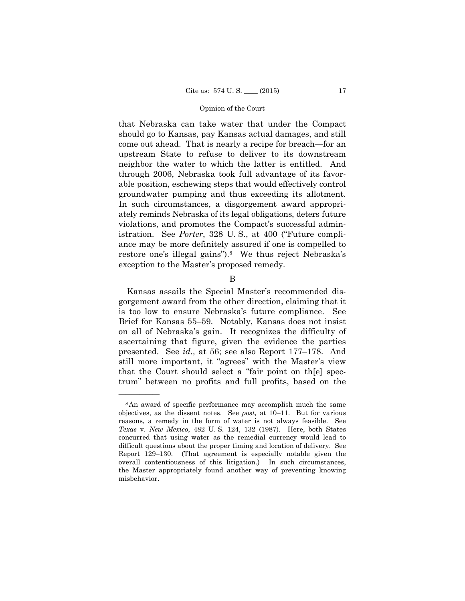groundwater pumping and thus exceeding its allotment. ately reminds Nebraska of its legal obligations, deters future that Nebraska can take water that under the Compact should go to Kansas, pay Kansas actual damages, and still come out ahead. That is nearly a recipe for breach—for an upstream State to refuse to deliver to its downstream neighbor the water to which the latter is entitled. And through 2006, Nebraska took full advantage of its favorable position, eschewing steps that would effectively control In such circumstances, a disgorgement award appropriviolations, and promotes the Compact's successful administration. See *Porter*, 328 U. S., at 400 ("Future compliance may be more definitely assured if one is compelled to restore one's illegal gains").<sup>8</sup> We thus reject Nebraska's exception to the Master's proposed remedy.

B

Kansas assails the Special Master's recommended disgorgement award from the other direction, claiming that it is too low to ensure Nebraska's future compliance. See Brief for Kansas 55–59. Notably, Kansas does not insist on all of Nebraska's gain. It recognizes the difficulty of ascertaining that figure, given the evidence the parties presented. See *id.,* at 56; see also Report 177–178. And still more important, it "agrees" with the Master's view that the Court should select a "fair point on th[e] spectrum" between no profits and full profits, based on the

<sup>8</sup>An award of specific performance may accomplish much the same objectives, as the dissent notes. See *post,* at 10–11. But for various reasons, a remedy in the form of water is not always feasible. See *Texas* v. *New Mexico*, 482 U. S. 124, 132 (1987). Here, both States concurred that using water as the remedial currency would lead to difficult questions about the proper timing and location of delivery. See Report 129–130. (That agreement is especially notable given the overall contentiousness of this litigation.) In such circumstances, the Master appropriately found another way of preventing knowing misbehavior.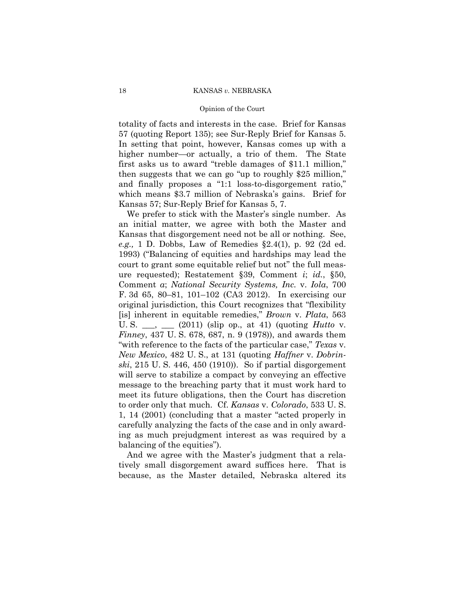#### Opinion of the Court

totality of facts and interests in the case. Brief for Kansas 57 (quoting Report 135); see Sur-Reply Brief for Kansas 5. In setting that point, however, Kansas comes up with a higher number—or actually, a trio of them. The State first asks us to award "treble damages of \$11.1 million," then suggests that we can go "up to roughly \$25 million," and finally proposes a "1:1 loss-to-disgorgement ratio," which means \$3.7 million of Nebraska's gains. Brief for Kansas 57; Sur-Reply Brief for Kansas 5, 7.

We prefer to stick with the Master's single number. As an initial matter, we agree with both the Master and Kansas that disgorgement need not be all or nothing. See, *e.g.,* 1 D. Dobbs, Law of Remedies §2.4(1), p. 92 (2d ed. 1993) ("Balancing of equities and hardships may lead the court to grant some equitable relief but not" the full measure requested); Restatement §39, Comment *i*; *id.*, §50, Comment *a*; *National Security Systems, Inc.* v. *Iola*, 700 F. 3d 65, 80–81, 101–102 (CA3 2012). In exercising our original jurisdiction, this Court recognizes that "flexibility [is] inherent in equitable remedies," *Brown* v. *Plata*, 563 U. S. \_\_\_, \_\_\_ (2011) (slip op., at 41) (quoting *Hutto* v. *Finney*, 437 U. S. 678, 687, n. 9 (1978)), and awards them "with reference to the facts of the particular case," *Texas* v. *New Mexico*, 482 U. S., at 131 (quoting *Haffner* v. *Dobrinski*, 215 U. S. 446, 450 (1910)). So if partial disgorgement will serve to stabilize a compact by conveying an effective message to the breaching party that it must work hard to meet its future obligations, then the Court has discretion to order only that much. Cf. *Kansas* v. *Colorado*, 533 U. S. 1, 14 (2001) (concluding that a master "acted properly in carefully analyzing the facts of the case and in only awarding as much prejudgment interest as was required by a balancing of the equities").

And we agree with the Master's judgment that a relatively small disgorgement award suffices here. That is because, as the Master detailed, Nebraska altered its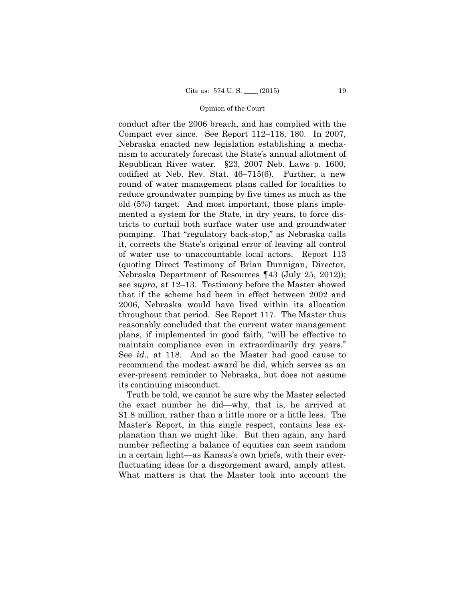conduct after the 2006 breach, and has complied with the Compact ever since. See Report 112–118, 180. In 2007, Nebraska enacted new legislation establishing a mechanism to accurately forecast the State's annual allotment of Republican River water. §23, 2007 Neb. Laws p. 1600, codified at Neb. Rev. Stat. 46–715(6). Further, a new round of water management plans called for localities to reduce groundwater pumping by five times as much as the old (5%) target. And most important, those plans implemented a system for the State, in dry years, to force districts to curtail both surface water use and groundwater pumping. That "regulatory back-stop," as Nebraska calls it, corrects the State's original error of leaving all control of water use to unaccountable local actors. Report 113 (quoting Direct Testimony of Brian Dunnigan, Director, Nebraska Department of Resources ¶43 (July 25, 2012)); see *supra,* at 12–13. Testimony before the Master showed that if the scheme had been in effect between 2002 and 2006, Nebraska would have lived within its allocation throughout that period. See Report 117. The Master thus reasonably concluded that the current water management plans, if implemented in good faith, "will be effective to maintain compliance even in extraordinarily dry years." See *id.,* at 118. And so the Master had good cause to recommend the modest award he did, which serves as an ever-present reminder to Nebraska, but does not assume its continuing misconduct.

Truth be told, we cannot be sure why the Master selected the exact number he did—why, that is, he arrived at \$1.8 million, rather than a little more or a little less. The Master's Report, in this single respect, contains less explanation than we might like. But then again, any hard number reflecting a balance of equities can seem random in a certain light—as Kansas's own briefs, with their everfluctuating ideas for a disgorgement award, amply attest. What matters is that the Master took into account the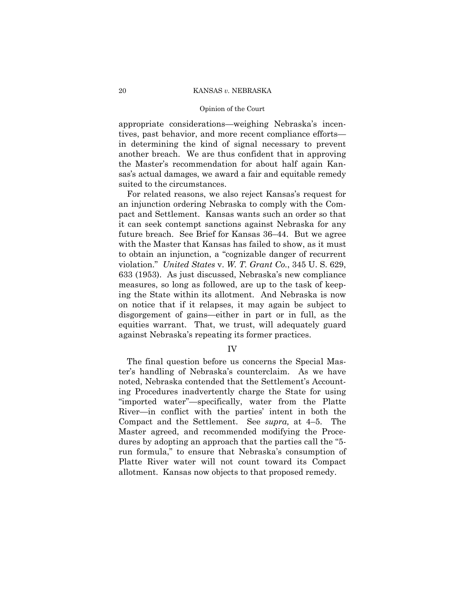#### Opinion of the Court

appropriate considerations—weighing Nebraska's incentives, past behavior, and more recent compliance efforts in determining the kind of signal necessary to prevent another breach. We are thus confident that in approving the Master's recommendation for about half again Kansas's actual damages, we award a fair and equitable remedy suited to the circumstances.

For related reasons, we also reject Kansas's request for an injunction ordering Nebraska to comply with the Compact and Settlement. Kansas wants such an order so that it can seek contempt sanctions against Nebraska for any future breach. See Brief for Kansas 36–44. But we agree with the Master that Kansas has failed to show, as it must to obtain an injunction, a "cognizable danger of recurrent violation." *United States* v. *W. T. Grant Co.*, 345 U. S. 629, 633 (1953). As just discussed, Nebraska's new compliance measures, so long as followed, are up to the task of keeping the State within its allotment. And Nebraska is now on notice that if it relapses, it may again be subject to disgorgement of gains—either in part or in full, as the equities warrant. That, we trust, will adequately guard against Nebraska's repeating its former practices.

IV

The final question before us concerns the Special Master's handling of Nebraska's counterclaim. As we have noted, Nebraska contended that the Settlement's Accounting Procedures inadvertently charge the State for using "imported water"—specifically, water from the Platte River—in conflict with the parties' intent in both the Compact and the Settlement. See *supra,* at 4–5. The Master agreed, and recommended modifying the Procedures by adopting an approach that the parties call the "5 run formula," to ensure that Nebraska's consumption of Platte River water will not count toward its Compact allotment. Kansas now objects to that proposed remedy.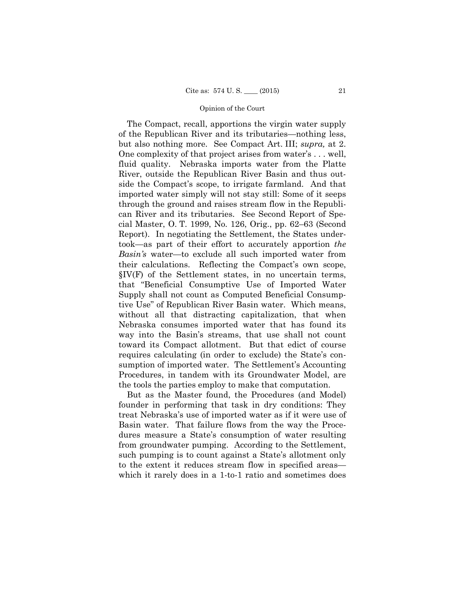The Compact, recall, apportions the virgin water supply of the Republican River and its tributaries—nothing less, but also nothing more. See Compact Art. III; *supra,* at 2. One complexity of that project arises from water's . . . well, fluid quality. Nebraska imports water from the Platte River, outside the Republican River Basin and thus outside the Compact's scope, to irrigate farmland. And that imported water simply will not stay still: Some of it seeps through the ground and raises stream flow in the Republican River and its tributaries. See Second Report of Special Master, O. T. 1999, No. 126, Orig., pp. 62–63 (Second Report). In negotiating the Settlement, the States undertook—as part of their effort to accurately apportion *the Basin's* water—to exclude all such imported water from their calculations. Reflecting the Compact's own scope, §IV(F) of the Settlement states, in no uncertain terms, that "Beneficial Consumptive Use of Imported Water Supply shall not count as Computed Beneficial Consumptive Use" of Republican River Basin water. Which means, without all that distracting capitalization, that when Nebraska consumes imported water that has found its way into the Basin's streams, that use shall not count toward its Compact allotment. But that edict of course requires calculating (in order to exclude) the State's consumption of imported water. The Settlement's Accounting Procedures, in tandem with its Groundwater Model, are the tools the parties employ to make that computation.

But as the Master found, the Procedures (and Model) founder in performing that task in dry conditions: They treat Nebraska's use of imported water as if it were use of Basin water. That failure flows from the way the Procedures measure a State's consumption of water resulting from groundwater pumping. According to the Settlement, such pumping is to count against a State's allotment only to the extent it reduces stream flow in specified areas which it rarely does in a 1-to-1 ratio and sometimes does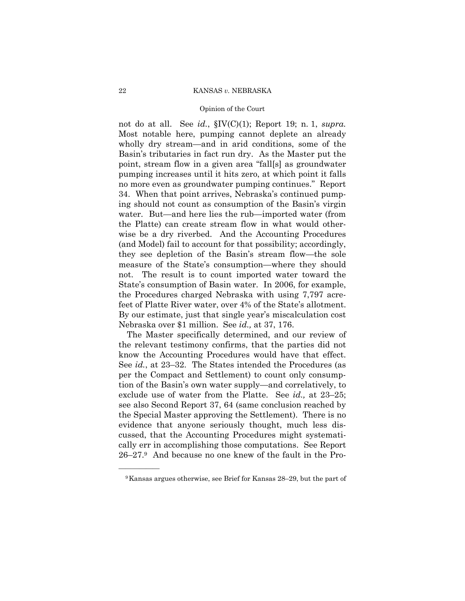#### Opinion of the Court

not do at all. See *id.*, §IV(C)(1); Report 19; n. 1, *supra.* Most notable here, pumping cannot deplete an already wholly dry stream—and in arid conditions, some of the Basin's tributaries in fact run dry. As the Master put the point, stream flow in a given area "fall[s] as groundwater pumping increases until it hits zero, at which point it falls no more even as groundwater pumping continues." Report 34. When that point arrives, Nebraska's continued pumping should not count as consumption of the Basin's virgin water. But—and here lies the rub—imported water (from the Platte) can create stream flow in what would otherwise be a dry riverbed. And the Accounting Procedures (and Model) fail to account for that possibility; accordingly, they see depletion of the Basin's stream flow—the sole measure of the State's consumption—where they should not. The result is to count imported water toward the State's consumption of Basin water. In 2006, for example, the Procedures charged Nebraska with using 7,797 acrefeet of Platte River water, over 4% of the State's allotment. By our estimate, just that single year's miscalculation cost Nebraska over \$1 million. See *id.,* at 37, 176.

The Master specifically determined, and our review of the relevant testimony confirms, that the parties did not know the Accounting Procedures would have that effect. See *id.*, at 23–32. The States intended the Procedures (as per the Compact and Settlement) to count only consumption of the Basin's own water supply—and correlatively, to exclude use of water from the Platte. See *id.,* at 23–25; see also Second Report 37, 64 (same conclusion reached by the Special Master approving the Settlement). There is no evidence that anyone seriously thought, much less discussed, that the Accounting Procedures might systematically err in accomplishing those computations. See Report 26–27.9 And because no one knew of the fault in the Pro

<sup>9</sup>Kansas argues otherwise, see Brief for Kansas 28–29, but the part of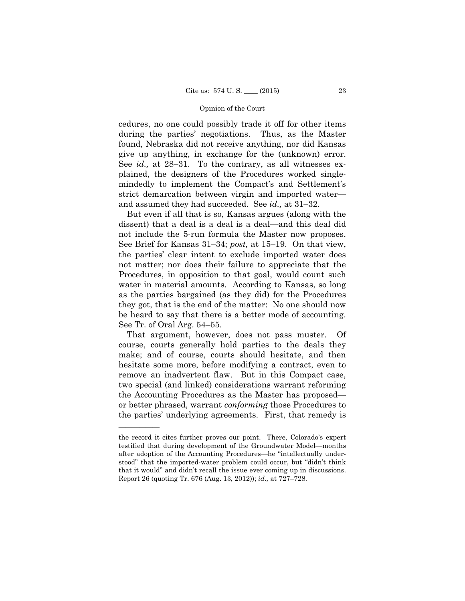cedures, no one could possibly trade it off for other items during the parties' negotiations. Thus, as the Master found, Nebraska did not receive anything, nor did Kansas give up anything, in exchange for the (unknown) error. See *id.*, at 28–31. To the contrary, as all witnesses explained, the designers of the Procedures worked singlemindedly to implement the Compact's and Settlement's strict demarcation between virgin and imported water and assumed they had succeeded. See *id.,* at 31–32.

 See Brief for Kansas 31–34; *post,* at 15–19. On that view, But even if all that is so, Kansas argues (along with the dissent) that a deal is a deal is a deal—and this deal did not include the 5-run formula the Master now proposes. the parties' clear intent to exclude imported water does not matter; nor does their failure to appreciate that the Procedures, in opposition to that goal, would count such water in material amounts. According to Kansas, so long as the parties bargained (as they did) for the Procedures they got, that is the end of the matter: No one should now be heard to say that there is a better mode of accounting. See Tr. of Oral Arg. 54–55.

That argument, however, does not pass muster. Of course, courts generally hold parties to the deals they make; and of course, courts should hesitate, and then hesitate some more, before modifying a contract, even to remove an inadvertent flaw. But in this Compact case, two special (and linked) considerations warrant reforming the Accounting Procedures as the Master has proposed or better phrased, warrant *conforming* those Procedures to the parties' underlying agreements. First, that remedy is

the record it cites further proves our point. There, Colorado's expert testified that during development of the Groundwater Model—months after adoption of the Accounting Procedures—he "intellectually understood" that the imported-water problem could occur, but "didn't think that it would" and didn't recall the issue ever coming up in discussions. Report 26 (quoting Tr. 676 (Aug. 13, 2012)); *id.,* at 727–728.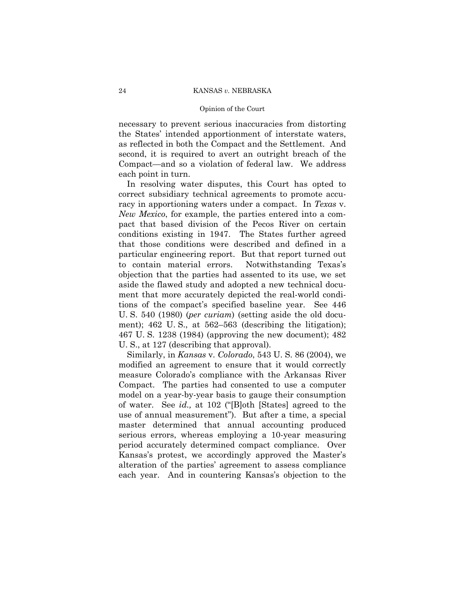#### Opinion of the Court

necessary to prevent serious inaccuracies from distorting the States' intended apportionment of interstate waters, as reflected in both the Compact and the Settlement. And second, it is required to avert an outright breach of the Compact—and so a violation of federal law. We address each point in turn.

In resolving water disputes, this Court has opted to correct subsidiary technical agreements to promote accuracy in apportioning waters under a compact. In *Texas* v. *New Mexico*, for example, the parties entered into a compact that based division of the Pecos River on certain conditions existing in 1947. The States further agreed that those conditions were described and defined in a particular engineering report. But that report turned out to contain material errors. Notwithstanding Texas's objection that the parties had assented to its use, we set aside the flawed study and adopted a new technical document that more accurately depicted the real-world conditions of the compact's specified baseline year. See 446 U. S. 540 (1980) (*per curiam*) (setting aside the old document); 462 U. S., at 562–563 (describing the litigation); 467 U. S. 1238 (1984) (approving the new document); 482 U. S., at 127 (describing that approval).

 Similarly, in *Kansas* v. *Colorado*, 543 U. S. 86 (2004), we modified an agreement to ensure that it would correctly measure Colorado's compliance with the Arkansas River Compact. The parties had consented to use a computer model on a year-by-year basis to gauge their consumption of water. See *id.,* at 102 ("[B]oth [States] agreed to the use of annual measurement"). But after a time, a special master determined that annual accounting produced serious errors, whereas employing a 10-year measuring period accurately determined compact compliance. Over Kansas's protest, we accordingly approved the Master's alteration of the parties' agreement to assess compliance each year. And in countering Kansas's objection to the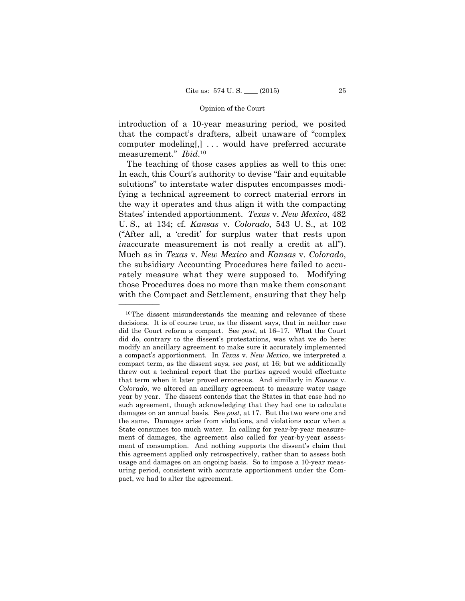introduction of a 10-year measuring period, we posited that the compact's drafters, albeit unaware of "complex computer modeling[,] . . . would have preferred accurate measurement." *Ibid*.10

The teaching of those cases applies as well to this one: In each, this Court's authority to devise "fair and equitable solutions" to interstate water disputes encompasses modifying a technical agreement to correct material errors in the way it operates and thus align it with the compacting States' intended apportionment. *Texas* v. *New Mexico*, 482 U. S., at 134; cf. *Kansas* v. *Colorado*, 543 U. S., at 102 ("After all, a 'credit' for surplus water that rests upon *in*accurate measurement is not really a credit at all"). Much as in *Texas* v. *New Mexico* and *Kansas* v. *Colorado*, the subsidiary Accounting Procedures here failed to accurately measure what they were supposed to. Modifying those Procedures does no more than make them consonant with the Compact and Settlement, ensuring that they help

 did the Court reform a compact. See *post*, at 16–17. What the Court 10The dissent misunderstands the meaning and relevance of these decisions. It is of course true, as the dissent says, that in neither case did do, contrary to the dissent's protestations, was what we do here: modify an ancillary agreement to make sure it accurately implemented a compact's apportionment. In *Texas* v. *New Mexico*, we interpreted a compact term, as the dissent says, see *post,* at 16; but we additionally threw out a technical report that the parties agreed would effectuate that term when it later proved erroneous. And similarly in *Kansas* v. *Colorado*, we altered an ancillary agreement to measure water usage year by year. The dissent contends that the States in that case had no such agreement, though acknowledging that they had one to calculate damages on an annual basis. See *post,* at 17. But the two were one and the same. Damages arise from violations, and violations occur when a State consumes too much water. In calling for year-by-year measurement of damages, the agreement also called for year-by-year assessment of consumption. And nothing supports the dissent's claim that this agreement applied only retrospectively, rather than to assess both usage and damages on an ongoing basis. So to impose a 10-year measuring period, consistent with accurate apportionment under the Compact, we had to alter the agreement.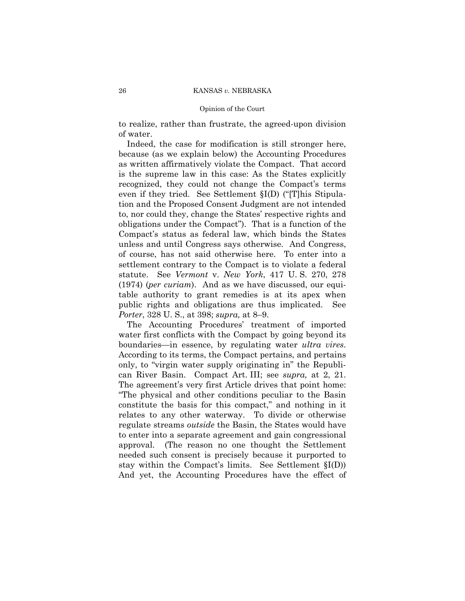#### Opinion of the Court

to realize, rather than frustrate, the agreed-upon division of water.

Indeed, the case for modification is still stronger here, because (as we explain below) the Accounting Procedures as written affirmatively violate the Compact. That accord is the supreme law in this case: As the States explicitly recognized, they could not change the Compact's terms even if they tried. See Settlement §I(D) ("[T]his Stipulation and the Proposed Consent Judgment are not intended to, nor could they, change the States' respective rights and obligations under the Compact"). That is a function of the Compact's status as federal law, which binds the States unless and until Congress says otherwise. And Congress, of course, has not said otherwise here. To enter into a settlement contrary to the Compact is to violate a federal statute. See *Vermont* v. *New York*, 417 U. S. 270, 278 (1974) (*per curiam*). And as we have discussed, our equitable authority to grant remedies is at its apex when public rights and obligations are thus implicated. See *Porter*, 328 U. S., at 398; *supra,* at 8–9.

The Accounting Procedures' treatment of imported water first conflicts with the Compact by going beyond its boundaries—in essence, by regulating water *ultra vires*. According to its terms, the Compact pertains, and pertains only, to "virgin water supply originating in" the Republican River Basin. Compact Art. III; see *supra,* at 2, 21. The agreement's very first Article drives that point home: "The physical and other conditions peculiar to the Basin constitute the basis for this compact," and nothing in it relates to any other waterway. To divide or otherwise regulate streams *outside* the Basin, the States would have to enter into a separate agreement and gain congressional approval. (The reason no one thought the Settlement needed such consent is precisely because it purported to stay within the Compact's limits. See Settlement §I(D)) And yet, the Accounting Procedures have the effect of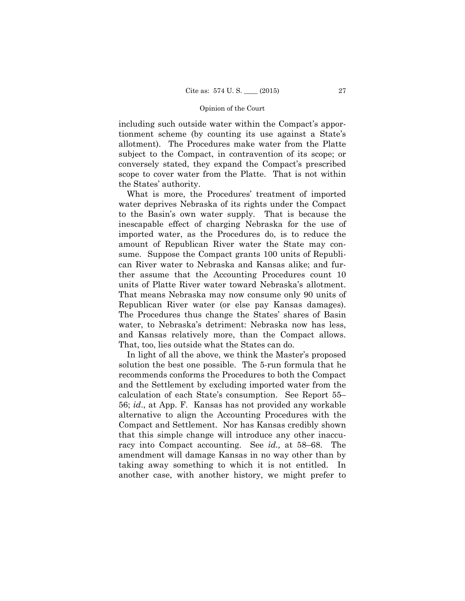including such outside water within the Compact's apportionment scheme (by counting its use against a State's allotment). The Procedures make water from the Platte subject to the Compact, in contravention of its scope; or conversely stated, they expand the Compact's prescribed scope to cover water from the Platte. That is not within the States' authority.

What is more, the Procedures' treatment of imported water deprives Nebraska of its rights under the Compact to the Basin's own water supply. That is because the inescapable effect of charging Nebraska for the use of imported water, as the Procedures do, is to reduce the amount of Republican River water the State may consume. Suppose the Compact grants 100 units of Republican River water to Nebraska and Kansas alike; and further assume that the Accounting Procedures count 10 units of Platte River water toward Nebraska's allotment. That means Nebraska may now consume only 90 units of Republican River water (or else pay Kansas damages). The Procedures thus change the States' shares of Basin water, to Nebraska's detriment: Nebraska now has less, and Kansas relatively more, than the Compact allows. That, too, lies outside what the States can do.

In light of all the above, we think the Master's proposed solution the best one possible. The 5-run formula that he recommends conforms the Procedures to both the Compact and the Settlement by excluding imported water from the calculation of each State's consumption. See Report 55– 56; *id*., at App. F. Kansas has not provided any workable alternative to align the Accounting Procedures with the Compact and Settlement. Nor has Kansas credibly shown that this simple change will introduce any other inaccuracy into Compact accounting. See *id.,* at 58–68. The amendment will damage Kansas in no way other than by taking away something to which it is not entitled. In another case, with another history, we might prefer to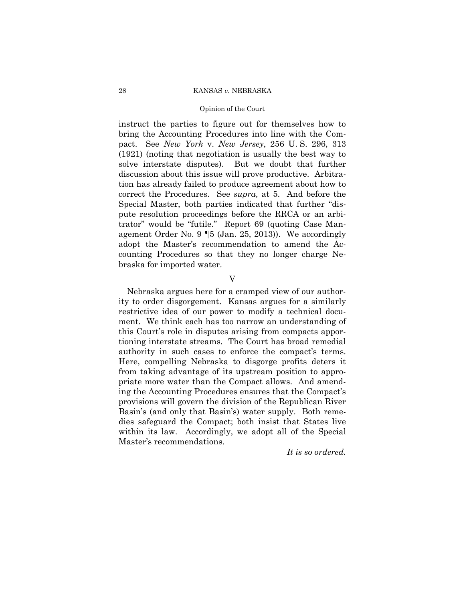#### Opinion of the Court

instruct the parties to figure out for themselves how to bring the Accounting Procedures into line with the Compact. See *New York* v. *New Jersey*, 256 U. S. 296, 313 (1921) (noting that negotiation is usually the best way to solve interstate disputes). But we doubt that further discussion about this issue will prove productive. Arbitration has already failed to produce agreement about how to correct the Procedures. See *supra,* at 5. And before the Special Master, both parties indicated that further "dispute resolution proceedings before the RRCA or an arbitrator" would be "futile." Report 69 (quoting Case Management Order No. 9 ¶5 (Jan. 25, 2013)). We accordingly adopt the Master's recommendation to amend the Accounting Procedures so that they no longer charge Nebraska for imported water.

#### V

Nebraska argues here for a cramped view of our authority to order disgorgement. Kansas argues for a similarly restrictive idea of our power to modify a technical document. We think each has too narrow an understanding of this Court's role in disputes arising from compacts apportioning interstate streams. The Court has broad remedial authority in such cases to enforce the compact's terms. Here, compelling Nebraska to disgorge profits deters it from taking advantage of its upstream position to appropriate more water than the Compact allows. And amending the Accounting Procedures ensures that the Compact's provisions will govern the division of the Republican River Basin's (and only that Basin's) water supply. Both remedies safeguard the Compact; both insist that States live within its law. Accordingly, we adopt all of the Special Master's recommendations.

## *It is so ordered.*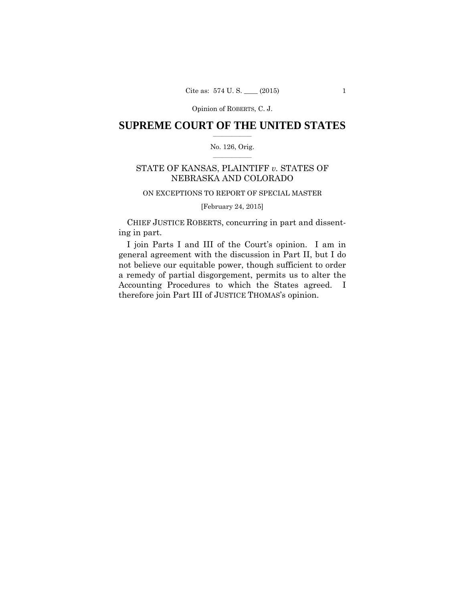Opinion of ROBERTS, C. J.

## $\frac{1}{2}$  ,  $\frac{1}{2}$  ,  $\frac{1}{2}$  ,  $\frac{1}{2}$  ,  $\frac{1}{2}$  ,  $\frac{1}{2}$  ,  $\frac{1}{2}$ **SUPREME COURT OF THE UNITED STATES**

### $\frac{1}{2}$  ,  $\frac{1}{2}$  ,  $\frac{1}{2}$  ,  $\frac{1}{2}$  ,  $\frac{1}{2}$  ,  $\frac{1}{2}$ No. 126, Orig.

## STATE OF KANSAS, PLAINTIFF *v.* STATES OF NEBRASKA AND COLORADO

## ON EXCEPTIONS TO REPORT OF SPECIAL MASTER

[February 24, 2015]

 CHIEF JUSTICE ROBERTS, concurring in part and dissenting in part.

I join Parts I and III of the Court's opinion. I am in general agreement with the discussion in Part II, but I do not believe our equitable power, though sufficient to order a remedy of partial disgorgement, permits us to alter the Accounting Procedures to which the States agreed. I therefore join Part III of JUSTICE THOMAS's opinion.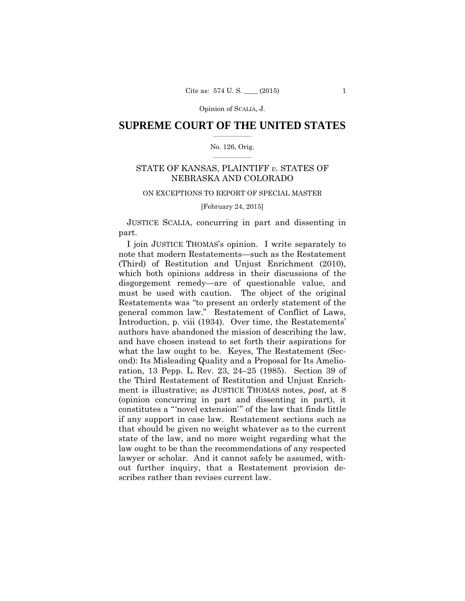Opinion of SCALIA, J.

## $\frac{1}{2}$  ,  $\frac{1}{2}$  ,  $\frac{1}{2}$  ,  $\frac{1}{2}$  ,  $\frac{1}{2}$  ,  $\frac{1}{2}$  ,  $\frac{1}{2}$ **SUPREME COURT OF THE UNITED STATES**

#### $\frac{1}{2}$  ,  $\frac{1}{2}$  ,  $\frac{1}{2}$  ,  $\frac{1}{2}$  ,  $\frac{1}{2}$  ,  $\frac{1}{2}$ No. 126, Orig.

## STATE OF KANSAS, PLAINTIFF *v.* STATES OF NEBRASKA AND COLORADO

## ON EXCEPTIONS TO REPORT OF SPECIAL MASTER

#### [February 24, 2015]

 JUSTICE SCALIA, concurring in part and dissenting in part.

I join JUSTICE THOMAS's opinion. I write separately to note that modern Restatements—such as the Restatement (Third) of Restitution and Unjust Enrichment (2010), which both opinions address in their discussions of the disgorgement remedy—are of questionable value, and must be used with caution. The object of the original Restatements was "to present an orderly statement of the general common law." Restatement of Conflict of Laws, Introduction, p. viii (1934). Over time, the Restatements' authors have abandoned the mission of describing the law, and have chosen instead to set forth their aspirations for what the law ought to be. Keyes, The Restatement (Second): Its Misleading Quality and a Proposal for Its Amelioration, 13 Pepp. L. Rev. 23, 24–25 (1985). Section 39 of the Third Restatement of Restitution and Unjust Enrichment is illustrative; as JUSTICE THOMAS notes, *post*, at 8 (opinion concurring in part and dissenting in part), it constitutes a "'novel extension'" of the law that finds little if any support in case law. Restatement sections such as that should be given no weight whatever as to the current state of the law, and no more weight regarding what the law ought to be than the recommendations of any respected lawyer or scholar. And it cannot safely be assumed, without further inquiry, that a Restatement provision describes rather than revises current law.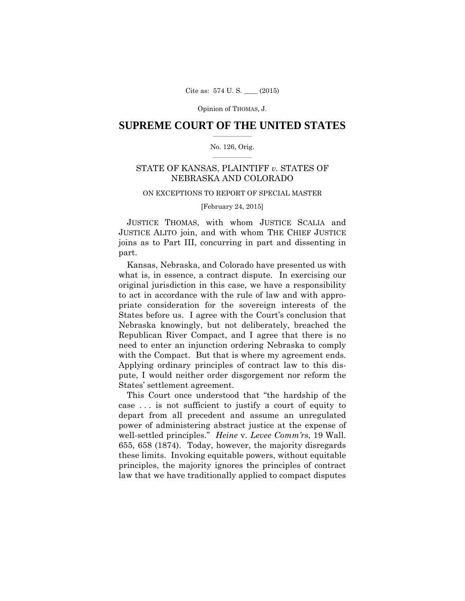## $\frac{1}{2}$  ,  $\frac{1}{2}$  ,  $\frac{1}{2}$  ,  $\frac{1}{2}$  ,  $\frac{1}{2}$  ,  $\frac{1}{2}$  ,  $\frac{1}{2}$ **SUPREME COURT OF THE UNITED STATES**

#### $\frac{1}{2}$  ,  $\frac{1}{2}$  ,  $\frac{1}{2}$  ,  $\frac{1}{2}$  ,  $\frac{1}{2}$  ,  $\frac{1}{2}$ No. 126, Orig.

## STATE OF KANSAS, PLAINTIFF *v.* STATES OF NEBRASKA AND COLORADO

## ON EXCEPTIONS TO REPORT OF SPECIAL MASTER

## [February 24, 2015]

 JUSTICE THOMAS, with whom JUSTICE SCALIA and JUSTICE ALITO join, and with whom THE CHIEF JUSTICE joins as to Part III, concurring in part and dissenting in part.

Kansas, Nebraska, and Colorado have presented us with what is, in essence, a contract dispute. In exercising our original jurisdiction in this case, we have a responsibility to act in accordance with the rule of law and with appropriate consideration for the sovereign interests of the States before us. I agree with the Court's conclusion that Nebraska knowingly, but not deliberately, breached the Republican River Compact, and I agree that there is no need to enter an injunction ordering Nebraska to comply with the Compact. But that is where my agreement ends. Applying ordinary principles of contract law to this dispute, I would neither order disgorgement nor reform the States' settlement agreement.

This Court once understood that "the hardship of the case . . . is not sufficient to justify a court of equity to depart from all precedent and assume an unregulated power of administering abstract justice at the expense of well-settled principles." *Heine* v. *Levee Comm'rs*, 19 Wall. 655, 658 (1874). Today, however, the majority disregards these limits. Invoking equitable powers, without equitable principles, the majority ignores the principles of contract law that we have traditionally applied to compact disputes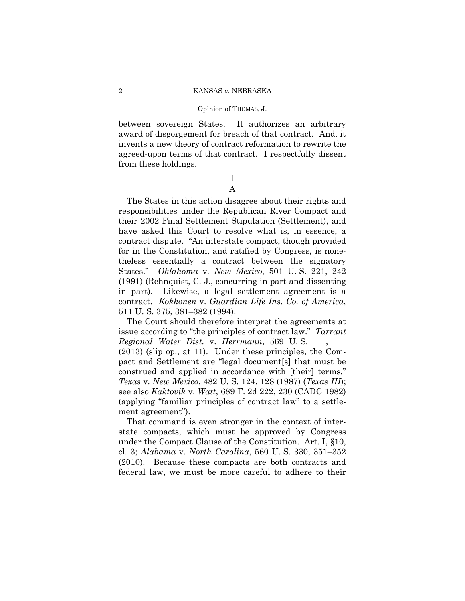between sovereign States. It authorizes an arbitrary award of disgorgement for breach of that contract. And, it invents a new theory of contract reformation to rewrite the agreed-upon terms of that contract. I respectfully dissent from these holdings.

## I A

The States in this action disagree about their rights and responsibilities under the Republican River Compact and their 2002 Final Settlement Stipulation (Settlement), and have asked this Court to resolve what is, in essence, a contract dispute. "An interstate compact, though provided for in the Constitution, and ratified by Congress, is nonetheless essentially a contract between the signatory States." *Oklahoma* v. *New Mexico*, 501 U. S. 221, 242 (1991) (Rehnquist, C. J., concurring in part and dissenting in part). Likewise, a legal settlement agreement is a contract. *Kokkonen* v. *Guardian Life Ins. Co. of America*, 511 U. S. 375, 381–382 (1994).

The Court should therefore interpret the agreements at issue according to "the principles of contract law." *Tarrant Regional Water Dist.* v. *Herrmann*, 569 U. S. \_\_\_, \_\_\_ (2013) (slip op., at 11). Under these principles, the Compact and Settlement are "legal document[s] that must be construed and applied in accordance with [their] terms." *Texas* v. *New Mexico*, 482 U. S. 124, 128 (1987) (*Texas III*); see also *Kaktovik* v. *Watt*, 689 F. 2d 222, 230 (CADC 1982) (applying "familiar principles of contract law" to a settlement agreement").

That command is even stronger in the context of interstate compacts, which must be approved by Congress under the Compact Clause of the Constitution. Art. I, §10, cl. 3; *Alabama* v. *North Carolina*, 560 U. S. 330, 351–352 (2010). Because these compacts are both contracts and federal law, we must be more careful to adhere to their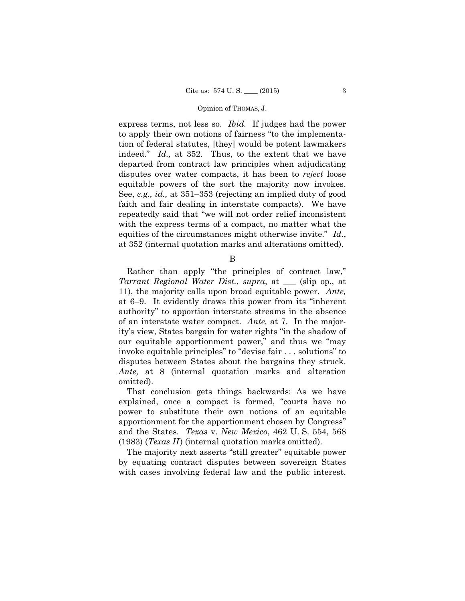express terms, not less so. *Ibid.* If judges had the power to apply their own notions of fairness "to the implementation of federal statutes, [they] would be potent lawmakers indeed." *Id.,* at 352*.* Thus, to the extent that we have departed from contract law principles when adjudicating disputes over water compacts, it has been to *reject* loose equitable powers of the sort the majority now invokes. See, *e.g., id.,* at 351–353 (rejecting an implied duty of good faith and fair dealing in interstate compacts). We have repeatedly said that "we will not order relief inconsistent with the express terms of a compact, no matter what the equities of the circumstances might otherwise invite." *Id.*, at 352 (internal quotation marks and alterations omitted).

B

Rather than apply "the principles of contract law," *Tarrant Regional Water Dist.*, *supra*, at \_\_\_ (slip op., at 11), the majority calls upon broad equitable power. *Ante,*  at 6–9. It evidently draws this power from its "inherent authority" to apportion interstate streams in the absence of an interstate water compact. *Ante,* at 7. In the majority's view, States bargain for water rights "in the shadow of our equitable apportionment power," and thus we "may invoke equitable principles" to "devise fair . . . solutions" to disputes between States about the bargains they struck. *Ante,* at 8 (internal quotation marks and alteration omitted).

That conclusion gets things backwards: As we have explained, once a compact is formed, "courts have no power to substitute their own notions of an equitable apportionment for the apportionment chosen by Congress" and the States. *Texas* v. *New Mexico*, 462 U. S. 554, 568 (1983) (*Texas II* ) (internal quotation marks omitted).

The majority next asserts "still greater" equitable power by equating contract disputes between sovereign States with cases involving federal law and the public interest.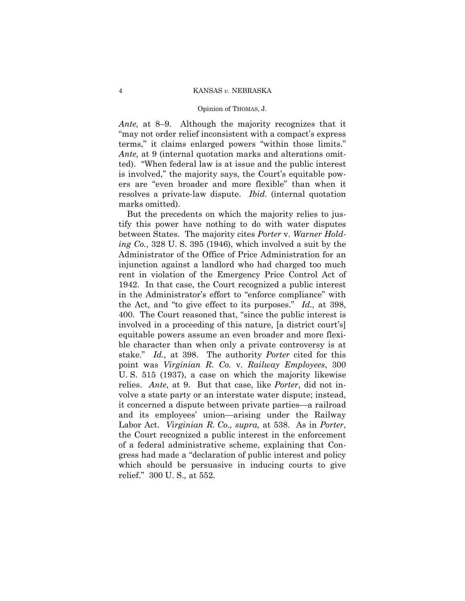#### Opinion of THOMAS, J.

*Ante,* at 8–9. Although the majority recognizes that it "may not order relief inconsistent with a compact's express terms," it claims enlarged powers "within those limits." *Ante,* at 9 (internal quotation marks and alterations omitted). "When federal law is at issue and the public interest is involved," the majority says, the Court's equitable powers are "even broader and more flexible" than when it resolves a private-law dispute. *Ibid.* (internal quotation marks omitted).

But the precedents on which the majority relies to justify this power have nothing to do with water disputes between States. The majority cites *Porter* v. *Warner Holding Co.*, 328 U. S. 395 (1946), which involved a suit by the Administrator of the Office of Price Administration for an injunction against a landlord who had charged too much rent in violation of the Emergency Price Control Act of 1942. In that case, the Court recognized a public interest in the Administrator's effort to "enforce compliance" with the Act, and "to give effect to its purposes." *Id.,* at 398, 400. The Court reasoned that, "since the public interest is involved in a proceeding of this nature, [a district court's] equitable powers assume an even broader and more flexible character than when only a private controversy is at stake." *Id.,* at 398. The authority *Porter* cited for this point was *Virginian R. Co.* v. *Railway Employees*, 300 U. S. 515 (1937), a case on which the majority likewise relies. *Ante,* at 9. But that case, like *Porter*, did not involve a state party or an interstate water dispute; instead, it concerned a dispute between private parties—a railroad and its employees' union—arising under the Railway Labor Act. *Virginian R. Co., supra,* at 538. As in *Porter*, the Court recognized a public interest in the enforcement of a federal administrative scheme, explaining that Congress had made a "declaration of public interest and policy which should be persuasive in inducing courts to give relief." 300 U. S.*,* at 552.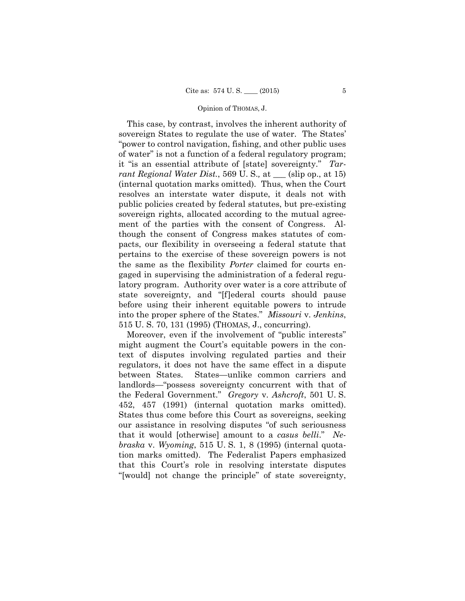This case, by contrast, involves the inherent authority of sovereign States to regulate the use of water. The States' "power to control navigation, fishing, and other public uses of water" is not a function of a federal regulatory program; it "is an essential attribute of [state] sovereignty." *Tarrant Regional Water Dist.*, 569 U. S.*,* at \_\_\_ (slip op., at 15) (internal quotation marks omitted). Thus, when the Court resolves an interstate water dispute, it deals not with public policies created by federal statutes, but pre-existing sovereign rights, allocated according to the mutual agreement of the parties with the consent of Congress. Although the consent of Congress makes statutes of compacts, our flexibility in overseeing a federal statute that pertains to the exercise of these sovereign powers is not the same as the flexibility *Porter* claimed for courts engaged in supervising the administration of a federal regulatory program. Authority over water is a core attribute of state sovereignty, and "[f]ederal courts should pause before using their inherent equitable powers to intrude into the proper sphere of the States." *Missouri* v. *Jenkins*, 515 U. S. 70, 131 (1995) (THOMAS, J., concurring).

Moreover, even if the involvement of "public interests" might augment the Court's equitable powers in the context of disputes involving regulated parties and their regulators, it does not have the same effect in a dispute between States. States—unlike common carriers and landlords—"possess sovereignty concurrent with that of the Federal Government." *Gregory* v. *Ashcroft*, 501 U. S. 452, 457 (1991) (internal quotation marks omitted). States thus come before this Court as sovereigns, seeking our assistance in resolving disputes "of such seriousness that it would [otherwise] amount to a *casus belli*." *Nebraska* v. *Wyoming*, 515 U. S. 1, 8 (1995) (internal quotation marks omitted). The Federalist Papers emphasized that this Court's role in resolving interstate disputes "[would] not change the principle" of state sovereignty,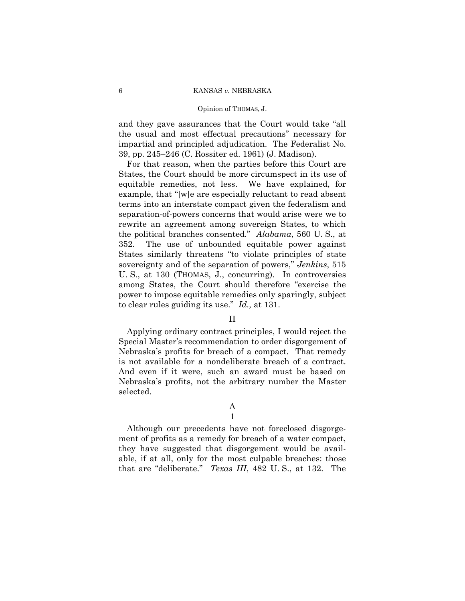#### Opinion of THOMAS, J.

and they gave assurances that the Court would take "all the usual and most effectual precautions" necessary for impartial and principled adjudication. The Federalist No. 39, pp. 245–246 (C. Rossiter ed. 1961) (J. Madison).

For that reason, when the parties before this Court are States, the Court should be more circumspect in its use of equitable remedies, not less. We have explained, for example, that "[w]e are especially reluctant to read absent terms into an interstate compact given the federalism and separation-of-powers concerns that would arise were we to rewrite an agreement among sovereign States, to which the political branches consented." *Alabama*, 560 U. S., at 352. The use of unbounded equitable power against States similarly threatens "to violate principles of state sovereignty and of the separation of powers," *Jenkins*, 515 U. S., at 130 (THOMAS, J., concurring). In controversies among States, the Court should therefore "exercise the power to impose equitable remedies only sparingly, subject to clear rules guiding its use." *Id.,* at 131.

## II

Applying ordinary contract principles, I would reject the Special Master's recommendation to order disgorgement of Nebraska's profits for breach of a compact. That remedy is not available for a nondeliberate breach of a contract. And even if it were, such an award must be based on Nebraska's profits, not the arbitrary number the Master selected.

## A 1

Although our precedents have not foreclosed disgorgement of profits as a remedy for breach of a water compact, they have suggested that disgorgement would be available, if at all, only for the most culpable breaches: those that are "deliberate." *Texas III*, 482 U. S., at 132. The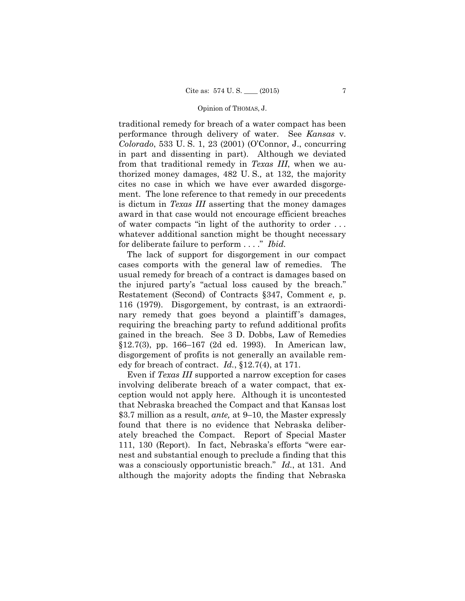traditional remedy for breach of a water compact has been performance through delivery of water. See *Kansas* v. *Colorado*, 533 U. S. 1, 23 (2001) (O'Connor, J., concurring in part and dissenting in part). Although we deviated from that traditional remedy in *Texas III*, when we authorized money damages, 482 U. S.*,* at 132, the majority cites no case in which we have ever awarded disgorgement. The lone reference to that remedy in our precedents is dictum in *Texas III* asserting that the money damages award in that case would not encourage efficient breaches of water compacts "in light of the authority to order . . . whatever additional sanction might be thought necessary for deliberate failure to perform . . . ." *Ibid.* 

The lack of support for disgorgement in our compact cases comports with the general law of remedies. The usual remedy for breach of a contract is damages based on the injured party's "actual loss caused by the breach." Restatement (Second) of Contracts §347, Comment *e*, p. 116 (1979). Disgorgement, by contrast, is an extraordinary remedy that goes beyond a plaintiff's damages, requiring the breaching party to refund additional profits gained in the breach. See 3 D. Dobbs, Law of Remedies §12.7(3), pp. 166–167 (2d ed. 1993). In American law, disgorgement of profits is not generally an available remedy for breach of contract. *Id.*, §12.7(4), at 171.

 Even if *Texas III* supported a narrow exception for cases involving deliberate breach of a water compact, that exception would not apply here. Although it is uncontested that Nebraska breached the Compact and that Kansas lost \$3.7 million as a result, *ante,* at 9–10, the Master expressly found that there is no evidence that Nebraska deliberately breached the Compact. Report of Special Master 111, 130 (Report). In fact, Nebraska's efforts "were earnest and substantial enough to preclude a finding that this was a consciously opportunistic breach." *Id.*, at 131. And although the majority adopts the finding that Nebraska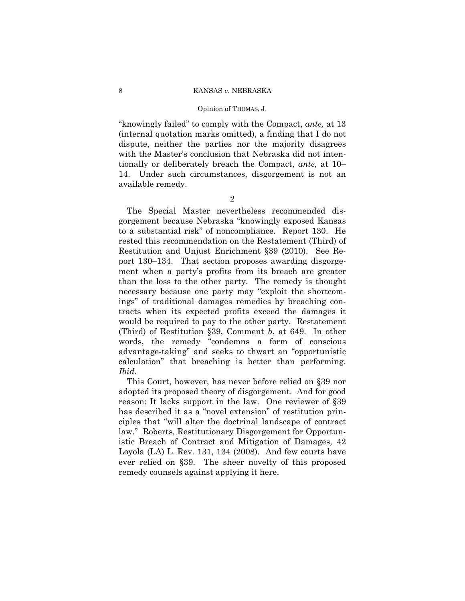#### Opinion of THOMAS, J.

 "knowingly failed" to comply with the Compact, *ante,* at 13 (internal quotation marks omitted), a finding that I do not dispute, neither the parties nor the majority disagrees with the Master's conclusion that Nebraska did not intentionally or deliberately breach the Compact, *ante,* at 10– 14. Under such circumstances, disgorgement is not an available remedy.

2

The Special Master nevertheless recommended disgorgement because Nebraska "knowingly exposed Kansas to a substantial risk" of noncompliance. Report 130. He rested this recommendation on the Restatement (Third) of Restitution and Unjust Enrichment §39 (2010). See Report 130–134. That section proposes awarding disgorgement when a party's profits from its breach are greater than the loss to the other party. The remedy is thought necessary because one party may "exploit the shortcomings" of traditional damages remedies by breaching contracts when its expected profits exceed the damages it would be required to pay to the other party. Restatement (Third) of Restitution §39, Comment *b*, at 649. In other words, the remedy "condemns a form of conscious advantage-taking" and seeks to thwart an "opportunistic calculation" that breaching is better than performing. *Ibid.* 

This Court, however, has never before relied on §39 nor adopted its proposed theory of disgorgement. And for good reason: It lacks support in the law. One reviewer of §39 has described it as a "novel extension" of restitution principles that "will alter the doctrinal landscape of contract law." Roberts*,* Restitutionary Disgorgement for Opportunistic Breach of Contract and Mitigation of Damages*,* 42 Loyola (LA) L. Rev. 131, 134 (2008). And few courts have ever relied on §39. The sheer novelty of this proposed remedy counsels against applying it here.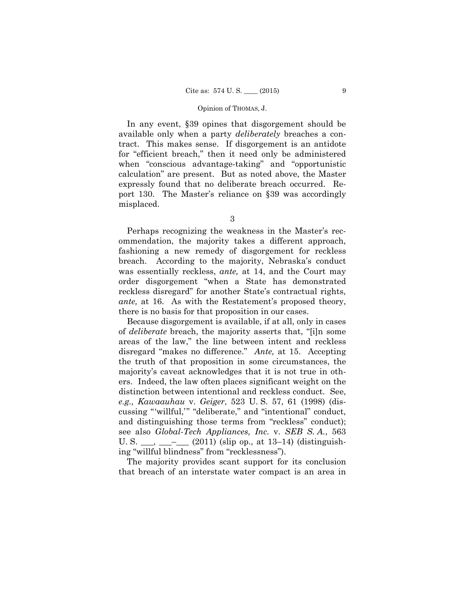In any event, §39 opines that disgorgement should be available only when a party *deliberately* breaches a contract. This makes sense. If disgorgement is an antidote for "efficient breach," then it need only be administered when "conscious advantage-taking" and "opportunistic calculation" are present. But as noted above, the Master expressly found that no deliberate breach occurred. Report 130. The Master's reliance on §39 was accordingly misplaced.

Perhaps recognizing the weakness in the Master's recommendation, the majority takes a different approach, fashioning a new remedy of disgorgement for reckless breach. According to the majority, Nebraska's conduct was essentially reckless, *ante,* at 14, and the Court may order disgorgement "when a State has demonstrated reckless disregard" for another State's contractual rights, *ante,* at 16. As with the Restatement's proposed theory, there is no basis for that proposition in our cases.

Because disgorgement is available, if at all, only in cases of *deliberate* breach, the majority asserts that, "[i]n some areas of the law," the line between intent and reckless disregard "makes no difference." *Ante,* at 15. Accepting the truth of that proposition in some circumstances, the majority's caveat acknowledges that it is not true in others. Indeed, the law often places significant weight on the distinction between intentional and reckless conduct. See, *e.g., Kawaauhau* v. *Geiger*, 523 U. S. 57, 61 (1998) (discussing "'willful,'" "deliberate," and "intentional" conduct, and distinguishing those terms from "reckless" conduct); see also *Global-Tech Appliances, Inc.* v. *SEB S. A.*, 563 U. S.  $\_\_\_\_\_\_\_\_\_\_$  (2011) (slip op., at 13–14) (distinguishing "willful blindness" from "recklessness").

The majority provides scant support for its conclusion that breach of an interstate water compact is an area in

<sup>3</sup>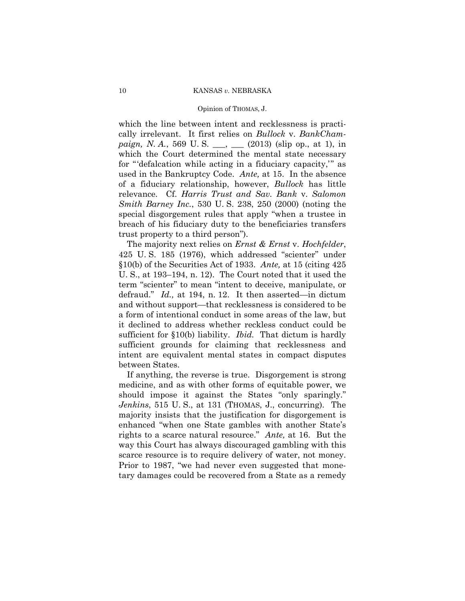#### Opinion of THOMAS, J.

which the line between intent and recklessness is practically irrelevant. It first relies on *Bullock* v. *BankChampaign, N. A.*, 569 U. S. \_\_, \_\_ (2013) (slip op., at 1), in which the Court determined the mental state necessary for "'defalcation while acting in a fiduciary capacity,'" as used in the Bankruptcy Code. *Ante,* at 15. In the absence of a fiduciary relationship, however, *Bullock* has little relevance. Cf. *Harris Trust and Sav. Bank* v. *Salomon Smith Barney Inc.*, 530 U. S. 238, 250 (2000) (noting the special disgorgement rules that apply "when a trustee in breach of his fiduciary duty to the beneficiaries transfers trust property to a third person").

The majority next relies on *Ernst & Ernst* v. *Hochfelder*, 425 U. S. 185 (1976), which addressed "scienter" under §10(b) of the Securities Act of 1933. *Ante,* at 15 (citing 425 U. S., at 193–194, n. 12). The Court noted that it used the term "scienter" to mean "intent to deceive, manipulate, or defraud." *Id.,* at 194, n. 12. It then asserted—in dictum and without support—that recklessness is considered to be a form of intentional conduct in some areas of the law, but it declined to address whether reckless conduct could be sufficient for §10(b) liability. *Ibid.* That dictum is hardly sufficient grounds for claiming that recklessness and intent are equivalent mental states in compact disputes between States.

If anything, the reverse is true. Disgorgement is strong medicine, and as with other forms of equitable power, we should impose it against the States "only sparingly." *Jenkins*, 515 U. S., at 131 (THOMAS, J., concurring). The majority insists that the justification for disgorgement is enhanced "when one State gambles with another State's rights to a scarce natural resource." *Ante,* at 16. But the way this Court has always discouraged gambling with this scarce resource is to require delivery of water, not money. Prior to 1987, "we had never even suggested that monetary damages could be recovered from a State as a remedy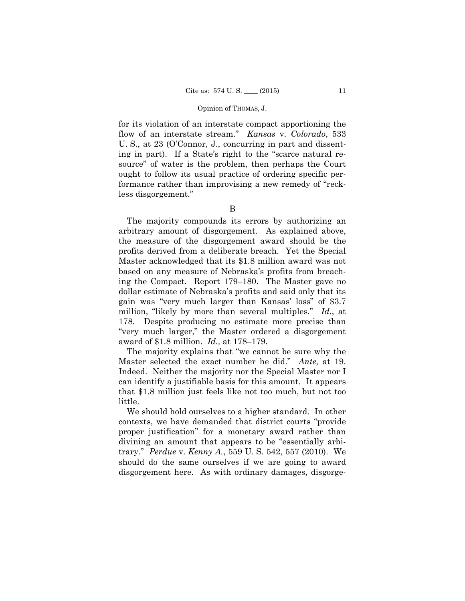for its violation of an interstate compact apportioning the flow of an interstate stream." *Kansas* v. *Colorado*, 533 U. S., at 23 (O'Connor, J., concurring in part and dissenting in part). If a State's right to the "scarce natural resource" of water is the problem, then perhaps the Court ought to follow its usual practice of ordering specific performance rather than improvising a new remedy of "reckless disgorgement."

B

The majority compounds its errors by authorizing an arbitrary amount of disgorgement. As explained above, the measure of the disgorgement award should be the profits derived from a deliberate breach. Yet the Special Master acknowledged that its \$1.8 million award was not based on any measure of Nebraska's profits from breaching the Compact. Report 179–180. The Master gave no dollar estimate of Nebraska's profits and said only that its gain was "very much larger than Kansas' loss" of \$3.7 million, "likely by more than several multiples." *Id.*, at 178. Despite producing no estimate more precise than "very much larger," the Master ordered a disgorgement award of \$1.8 million. *Id.,* at 178–179.

The majority explains that "we cannot be sure why the Master selected the exact number he did." *Ante,* at 19. Indeed. Neither the majority nor the Special Master nor I can identify a justifiable basis for this amount. It appears that \$1.8 million just feels like not too much, but not too little.

We should hold ourselves to a higher standard. In other contexts, we have demanded that district courts "provide proper justification" for a monetary award rather than divining an amount that appears to be "essentially arbitrary." *Perdue* v. *Kenny A.*, 559 U. S. 542, 557 (2010). We should do the same ourselves if we are going to award disgorgement here. As with ordinary damages, disgorge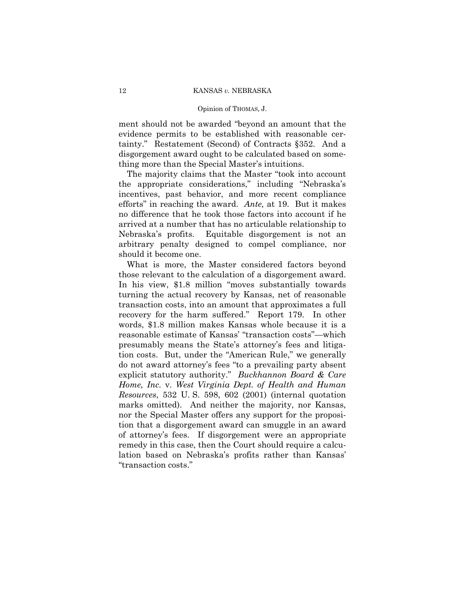ment should not be awarded "beyond an amount that the evidence permits to be established with reasonable certainty." Restatement (Second) of Contracts §352. And a disgorgement award ought to be calculated based on something more than the Special Master's intuitions.

The majority claims that the Master "took into account the appropriate considerations," including "Nebraska's incentives, past behavior, and more recent compliance efforts" in reaching the award. *Ante,* at 19. But it makes no difference that he took those factors into account if he arrived at a number that has no articulable relationship to Nebraska's profits. Equitable disgorgement is not an arbitrary penalty designed to compel compliance, nor should it become one.

 those relevant to the calculation of a disgorgement award. What is more, the Master considered factors beyond In his view, \$1.8 million "moves substantially towards turning the actual recovery by Kansas, net of reasonable transaction costs, into an amount that approximates a full recovery for the harm suffered." Report 179. In other words, \$1.8 million makes Kansas whole because it is a reasonable estimate of Kansas' "transaction costs"—which presumably means the State's attorney's fees and litigation costs. But, under the "American Rule," we generally do not award attorney's fees "to a prevailing party absent explicit statutory authority." *Buckhannon Board & Care Home, Inc.* v. *West Virginia Dept. of Health and Human Resources*, 532 U. S. 598, 602 (2001) (internal quotation marks omitted). And neither the majority, nor Kansas, nor the Special Master offers any support for the proposition that a disgorgement award can smuggle in an award of attorney's fees. If disgorgement were an appropriate remedy in this case, then the Court should require a calculation based on Nebraska's profits rather than Kansas' "transaction costs."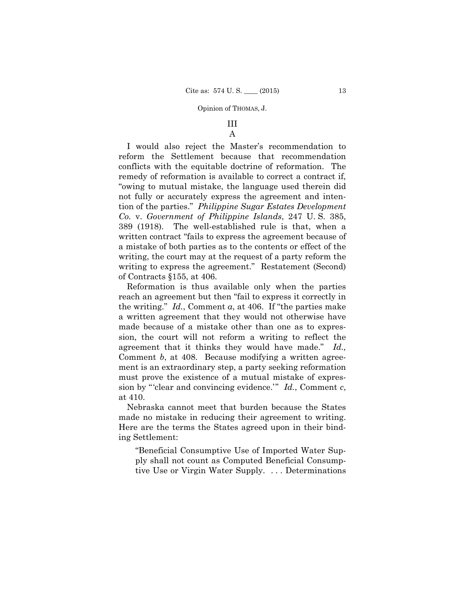# III

# A

I would also reject the Master's recommendation to reform the Settlement because that recommendation conflicts with the equitable doctrine of reformation. The remedy of reformation is available to correct a contract if, "owing to mutual mistake, the language used therein did not fully or accurately express the agreement and intention of the parties." *Philippine Sugar Estates Development Co.* v. *Government of Philippine Islands*, 247 U. S. 385, 389 (1918). The well-established rule is that, when a written contract "fails to express the agreement because of a mistake of both parties as to the contents or effect of the writing, the court may at the request of a party reform the writing to express the agreement." Restatement (Second) of Contracts §155, at 406.

Reformation is thus available only when the parties reach an agreement but then "fail to express it correctly in the writing." *Id.*, Comment *a*, at 406. If "the parties make a written agreement that they would not otherwise have made because of a mistake other than one as to expression, the court will not reform a writing to reflect the agreement that it thinks they would have made." *Id.,*  Comment *b*, at 408. Because modifying a written agreement is an extraordinary step, a party seeking reformation must prove the existence of a mutual mistake of expression by "'clear and convincing evidence.'" *Id.*, Comment *c*, at 410.

Nebraska cannot meet that burden because the States made no mistake in reducing their agreement to writing. Here are the terms the States agreed upon in their binding Settlement:

"Beneficial Consumptive Use of Imported Water Supply shall not count as Computed Beneficial Consumptive Use or Virgin Water Supply. . . . Determinations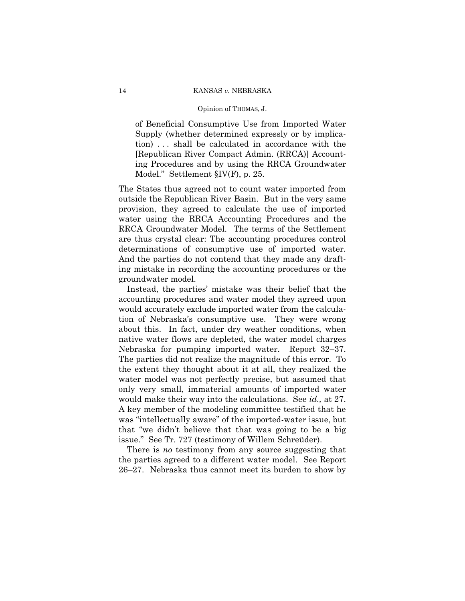of Beneficial Consumptive Use from Imported Water Supply (whether determined expressly or by implication) . . . shall be calculated in accordance with the [Republican River Compact Admin. (RRCA)] Accounting Procedures and by using the RRCA Groundwater Model." Settlement §IV(F), p. 25.

The States thus agreed not to count water imported from outside the Republican River Basin. But in the very same provision, they agreed to calculate the use of imported water using the RRCA Accounting Procedures and the RRCA Groundwater Model. The terms of the Settlement are thus crystal clear: The accounting procedures control determinations of consumptive use of imported water. And the parties do not contend that they made any drafting mistake in recording the accounting procedures or the groundwater model.

Instead, the parties' mistake was their belief that the accounting procedures and water model they agreed upon would accurately exclude imported water from the calculation of Nebraska's consumptive use. They were wrong about this. In fact, under dry weather conditions, when native water flows are depleted, the water model charges Nebraska for pumping imported water. Report 32–37. The parties did not realize the magnitude of this error. To the extent they thought about it at all, they realized the water model was not perfectly precise, but assumed that only very small, immaterial amounts of imported water would make their way into the calculations. See *id.,* at 27. A key member of the modeling committee testified that he was "intellectually aware" of the imported-water issue, but that "we didn't believe that that was going to be a big issue." See Tr. 727 (testimony of Willem Schreüder).

 There is *no* testimony from any source suggesting that the parties agreed to a different water model. See Report 26–27. Nebraska thus cannot meet its burden to show by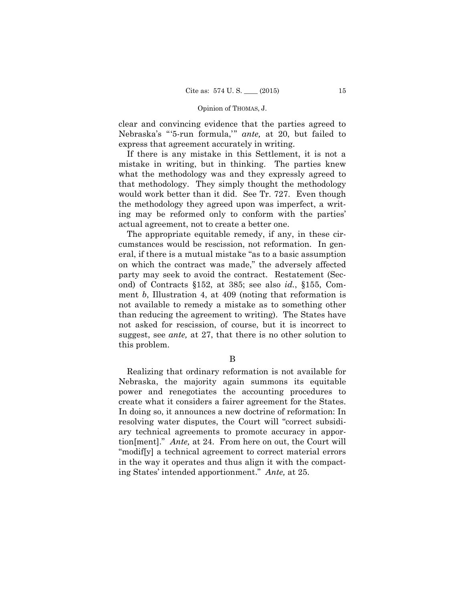clear and convincing evidence that the parties agreed to Nebraska's "'5-run formula,'" *ante,* at 20, but failed to express that agreement accurately in writing.

If there is any mistake in this Settlement, it is not a mistake in writing, but in thinking. The parties knew what the methodology was and they expressly agreed to that methodology. They simply thought the methodology would work better than it did. See Tr. 727. Even though the methodology they agreed upon was imperfect, a writing may be reformed only to conform with the parties' actual agreement, not to create a better one.

The appropriate equitable remedy, if any, in these circumstances would be rescission, not reformation. In general, if there is a mutual mistake "as to a basic assumption on which the contract was made," the adversely affected party may seek to avoid the contract. Restatement (Second) of Contracts §152, at 385; see also *id.*, §155, Comment *b*, Illustration 4, at 409 (noting that reformation is not available to remedy a mistake as to something other than reducing the agreement to writing). The States have not asked for rescission, of course, but it is incorrect to suggest, see *ante,* at 27, that there is no other solution to this problem.

B

Realizing that ordinary reformation is not available for Nebraska, the majority again summons its equitable power and renegotiates the accounting procedures to create what it considers a fairer agreement for the States. In doing so, it announces a new doctrine of reformation: In resolving water disputes, the Court will "correct subsidiary technical agreements to promote accuracy in apportion[ment]." *Ante,* at 24. From here on out, the Court will "modif[y] a technical agreement to correct material errors in the way it operates and thus align it with the compacting States' intended apportionment." *Ante,* at 25.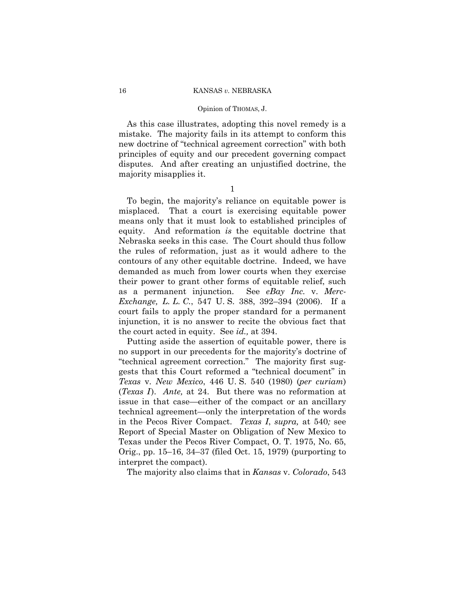#### Opinion of THOMAS, J.

As this case illustrates, adopting this novel remedy is a mistake. The majority fails in its attempt to conform this new doctrine of "technical agreement correction" with both principles of equity and our precedent governing compact disputes. And after creating an unjustified doctrine, the majority misapplies it.

1

 the court acted in equity. See *id.,* at 394. To begin, the majority's reliance on equitable power is misplaced. That a court is exercising equitable power means only that it must look to established principles of equity. And reformation *is* the equitable doctrine that Nebraska seeks in this case. The Court should thus follow the rules of reformation, just as it would adhere to the contours of any other equitable doctrine. Indeed, we have demanded as much from lower courts when they exercise their power to grant other forms of equitable relief, such as a permanent injunction. See *eBay Inc.* v. *Merc-Exchange, L. L. C.*, 547 U. S. 388, 392–394 (2006). If a court fails to apply the proper standard for a permanent injunction, it is no answer to recite the obvious fact that

Putting aside the assertion of equitable power, there is no support in our precedents for the majority's doctrine of "technical agreement correction." The majority first suggests that this Court reformed a "technical document" in *Texas* v. *New Mexico*, 446 U. S. 540 (1980) (*per curiam*) (*Texas I*). *Ante*, at 24. But there was no reformation at issue in that case—either of the compact or an ancillary technical agreement—only the interpretation of the words in the Pecos River Compact. *Texas I*, *supra,* at 540*;* see Report of Special Master on Obligation of New Mexico to Texas under the Pecos River Compact, O. T. 1975, No. 65, Orig., pp. 15–16, 34–37 (filed Oct. 15, 1979) (purporting to interpret the compact).

The majority also claims that in *Kansas* v. *Colorado*, 543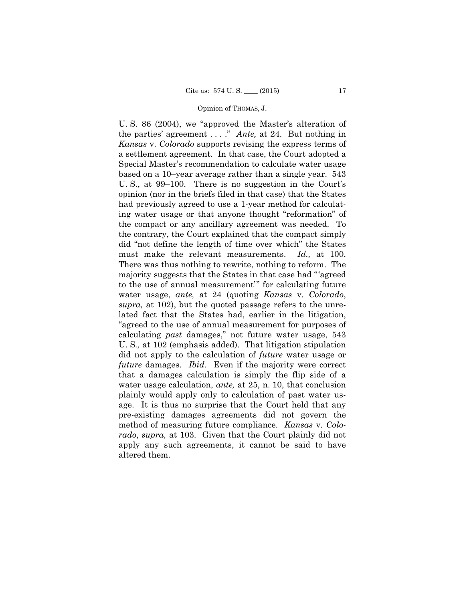the parties' agreement . . . ." *Ante,* at 24. But nothing in U. S. 86 (2004), we "approved the Master's alteration of *Kansas* v. *Colorado* supports revising the express terms of a settlement agreement. In that case, the Court adopted a Special Master's recommendation to calculate water usage based on a 10–year average rather than a single year. 543 U. S., at 99–100. There is no suggestion in the Court's opinion (nor in the briefs filed in that case) that the States had previously agreed to use a 1-year method for calculating water usage or that anyone thought "reformation" of the compact or any ancillary agreement was needed. To the contrary, the Court explained that the compact simply did "not define the length of time over which" the States must make the relevant measurements. *Id.,* at 100. There was thus nothing to rewrite, nothing to reform. The majority suggests that the States in that case had "'agreed to the use of annual measurement'" for calculating future water usage, *ante,* at 24 (quoting *Kansas* v. *Colorado*, *supra,* at 102), but the quoted passage refers to the unrelated fact that the States had, earlier in the litigation, "agreed to the use of annual measurement for purposes of calculating *past* damages," not future water usage, 543 U. S*.,* at 102 (emphasis added). That litigation stipulation did not apply to the calculation of *future* water usage or *future* damages. *Ibid.* Even if the majority were correct that a damages calculation is simply the flip side of a water usage calculation, *ante,* at 25, n. 10, that conclusion plainly would apply only to calculation of past water usage. It is thus no surprise that the Court held that any pre-existing damages agreements did not govern the method of measuring future compliance. *Kansas* v. *Colorado*, *supra,* at 103. Given that the Court plainly did not apply any such agreements, it cannot be said to have altered them.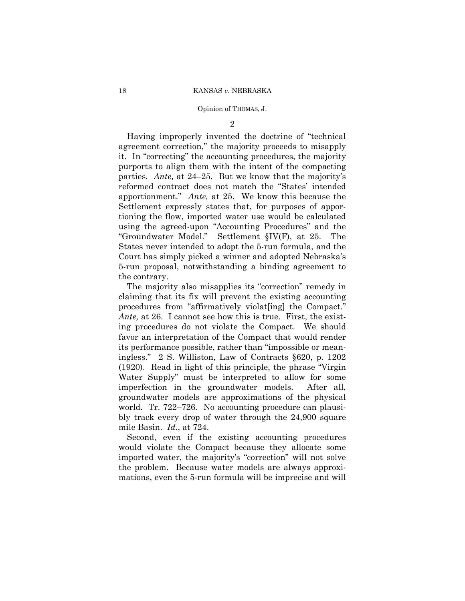2

Having improperly invented the doctrine of "technical agreement correction," the majority proceeds to misapply it. In "correcting" the accounting procedures, the majority purports to align them with the intent of the compacting parties. *Ante,* at 24–25. But we know that the majority's reformed contract does not match the "States' intended apportionment." *Ante,* at 25. We know this because the Settlement expressly states that, for purposes of apportioning the flow, imported water use would be calculated using the agreed-upon "Accounting Procedures" and the "Groundwater Model." Settlement §IV(F), at 25. The States never intended to adopt the 5-run formula, and the Court has simply picked a winner and adopted Nebraska's 5-run proposal, notwithstanding a binding agreement to the contrary.

The majority also misapplies its "correction" remedy in claiming that its fix will prevent the existing accounting procedures from "affirmatively violat[ing] the Compact." *Ante,* at 26. I cannot see how this is true. First, the existing procedures do not violate the Compact. We should favor an interpretation of the Compact that would render its performance possible, rather than "impossible or meaningless." 2 S. Williston, Law of Contracts §620, p. 1202 (1920). Read in light of this principle, the phrase "Virgin Water Supply" must be interpreted to allow for some imperfection in the groundwater models. After all, groundwater models are approximations of the physical world. Tr. 722–726. No accounting procedure can plausibly track every drop of water through the 24,900 square mile Basin. *Id.*, at 724.

Second, even if the existing accounting procedures would violate the Compact because they allocate some imported water, the majority's "correction" will not solve the problem. Because water models are always approximations, even the 5-run formula will be imprecise and will